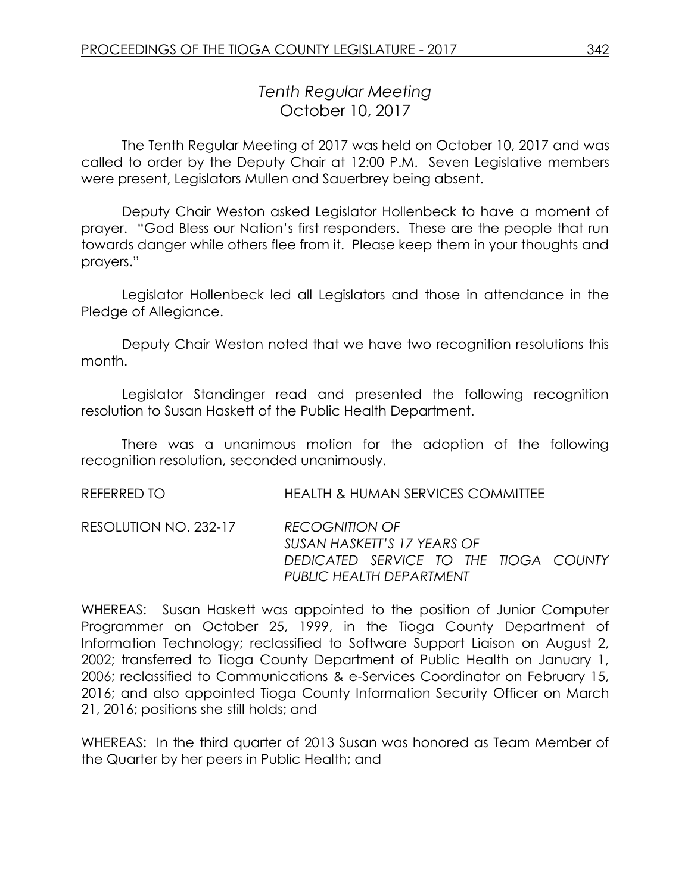# *Tenth Regular Meeting* October 10, 2017

The Tenth Regular Meeting of 2017 was held on October 10, 2017 and was called to order by the Deputy Chair at 12:00 P.M. Seven Legislative members were present, Legislators Mullen and Sauerbrey being absent.

Deputy Chair Weston asked Legislator Hollenbeck to have a moment of prayer. "God Bless our Nation's first responders. These are the people that run towards danger while others flee from it. Please keep them in your thoughts and prayers."

Legislator Hollenbeck led all Legislators and those in attendance in the Pledge of Allegiance.

Deputy Chair Weston noted that we have two recognition resolutions this month.

Legislator Standinger read and presented the following recognition resolution to Susan Haskett of the Public Health Department.

There was a unanimous motion for the adoption of the following recognition resolution, seconded unanimously.

REFERRED TO HEALTH & HUMAN SERVICES COMMITTEE

RESOLUTION NO. 232-17 *RECOGNITION OF SUSAN HASKETT'S 17 YEARS OF DEDICATED SERVICE TO THE TIOGA COUNTY PUBLIC HEALTH DEPARTMENT*

WHEREAS: Susan Haskett was appointed to the position of Junior Computer Programmer on October 25, 1999, in the Tioga County Department of Information Technology; reclassified to Software Support Liaison on August 2, 2002; transferred to Tioga County Department of Public Health on January 1, 2006; reclassified to Communications & e-Services Coordinator on February 15, 2016; and also appointed Tioga County Information Security Officer on March 21, 2016; positions she still holds; and

WHEREAS: In the third quarter of 2013 Susan was honored as Team Member of the Quarter by her peers in Public Health; and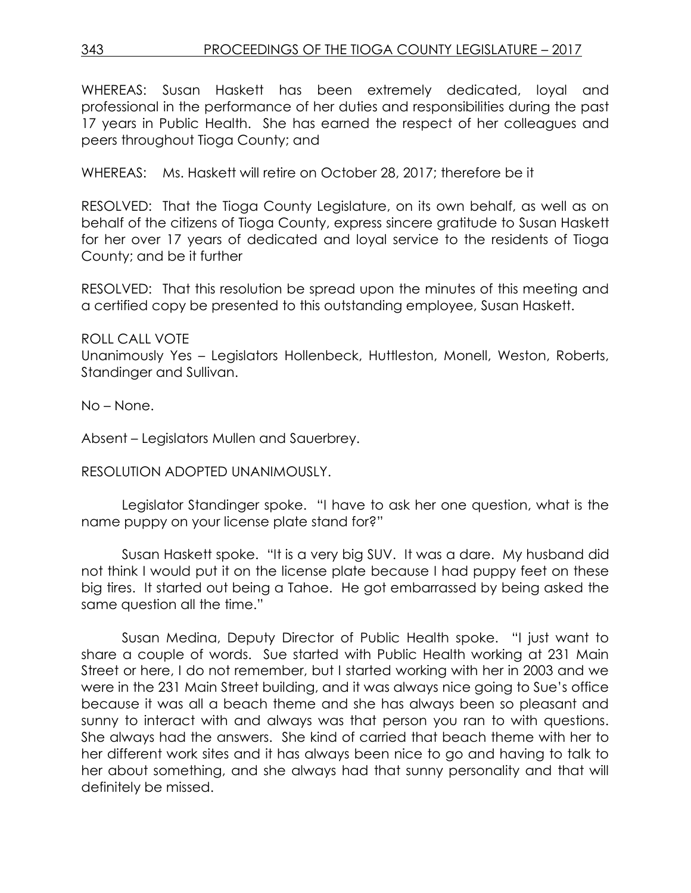WHEREAS: Susan Haskett has been extremely dedicated, loyal and professional in the performance of her duties and responsibilities during the past 17 years in Public Health. She has earned the respect of her colleagues and peers throughout Tioga County; and

WHEREAS: Ms. Haskett will retire on October 28, 2017; therefore be it

RESOLVED: That the Tioga County Legislature, on its own behalf, as well as on behalf of the citizens of Tioga County, express sincere gratitude to Susan Haskett for her over 17 years of dedicated and loyal service to the residents of Tioga County; and be it further

RESOLVED: That this resolution be spread upon the minutes of this meeting and a certified copy be presented to this outstanding employee, Susan Haskett.

ROLL CALL VOTE

Unanimously Yes – Legislators Hollenbeck, Huttleston, Monell, Weston, Roberts, Standinger and Sullivan.

No – None.

Absent – Legislators Mullen and Sauerbrey.

RESOLUTION ADOPTED UNANIMOUSLY.

Legislator Standinger spoke. "I have to ask her one question, what is the name puppy on your license plate stand for?"

Susan Haskett spoke. "It is a very big SUV. It was a dare. My husband did not think I would put it on the license plate because I had puppy feet on these big tires. It started out being a Tahoe. He got embarrassed by being asked the same question all the time."

Susan Medina, Deputy Director of Public Health spoke. "I just want to share a couple of words. Sue started with Public Health working at 231 Main Street or here, I do not remember, but I started working with her in 2003 and we were in the 231 Main Street building, and it was always nice going to Sue's office because it was all a beach theme and she has always been so pleasant and sunny to interact with and always was that person you ran to with questions. She always had the answers. She kind of carried that beach theme with her to her different work sites and it has always been nice to go and having to talk to her about something, and she always had that sunny personality and that will definitely be missed.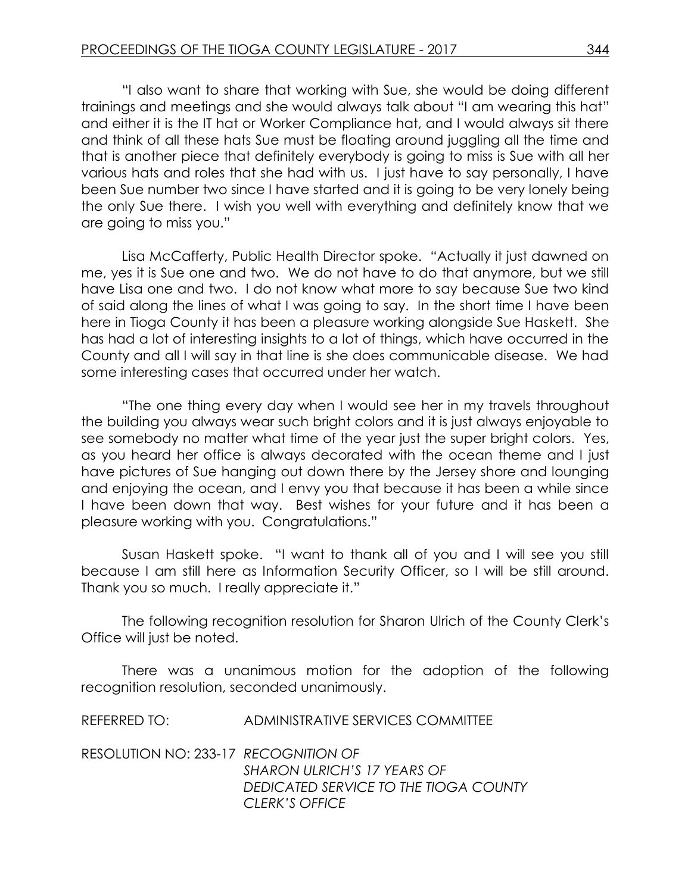"I also want to share that working with Sue, she would be doing different trainings and meetings and she would always talk about "I am wearing this hat" and either it is the IT hat or Worker Compliance hat, and I would always sit there and think of all these hats Sue must be floating around juggling all the time and that is another piece that definitely everybody is going to miss is Sue with all her various hats and roles that she had with us. I just have to say personally, I have been Sue number two since I have started and it is going to be very lonely being the only Sue there. I wish you well with everything and definitely know that we are going to miss you."

Lisa McCafferty, Public Health Director spoke. "Actually it just dawned on me, yes it is Sue one and two. We do not have to do that anymore, but we still have Lisa one and two. I do not know what more to say because Sue two kind of said along the lines of what I was going to say. In the short time I have been here in Tioga County it has been a pleasure working alongside Sue Haskett. She has had a lot of interesting insights to a lot of things, which have occurred in the County and all I will say in that line is she does communicable disease. We had some interesting cases that occurred under her watch.

"The one thing every day when I would see her in my travels throughout the building you always wear such bright colors and it is just always enjoyable to see somebody no matter what time of the year just the super bright colors. Yes, as you heard her office is always decorated with the ocean theme and I just have pictures of Sue hanging out down there by the Jersey shore and lounging and enjoying the ocean, and I envy you that because it has been a while since I have been down that way. Best wishes for your future and it has been a pleasure working with you. Congratulations."

Susan Haskett spoke. "I want to thank all of you and I will see you still because I am still here as Information Security Officer, so I will be still around. Thank you so much. I really appreciate it."

The following recognition resolution for Sharon Ulrich of the County Clerk's Office will just be noted.

There was a unanimous motion for the adoption of the following recognition resolution, seconded unanimously.

REFERRED TO: ADMINISTRATIVE SERVICES COMMITTEE

RESOLUTION NO: 233-17 *RECOGNITION OF SHARON ULRICH'S 17 YEARS OF DEDICATED SERVICE TO THE TIOGA COUNTY CLERK'S OFFICE*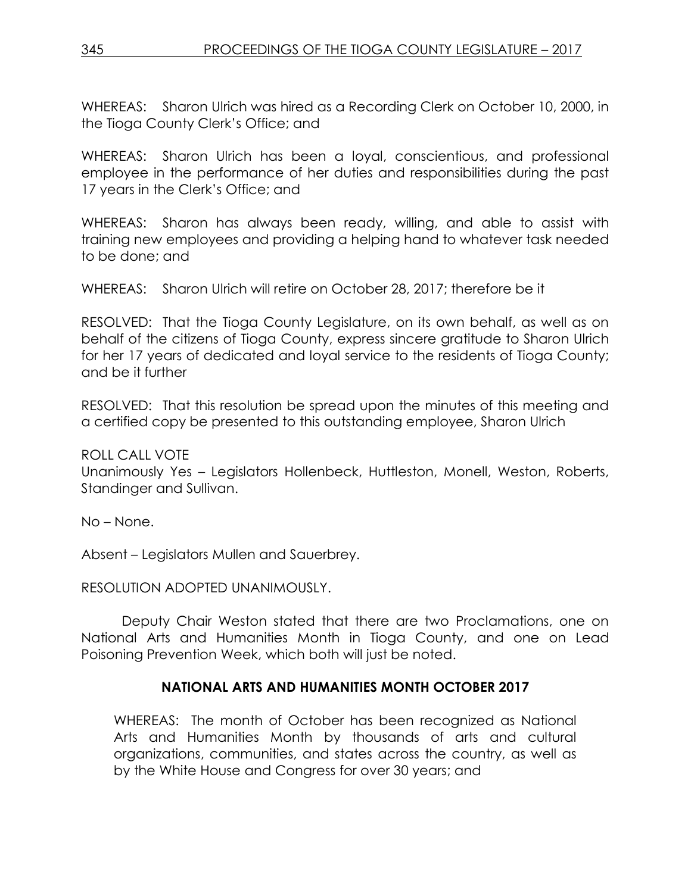WHEREAS: Sharon Ulrich was hired as a Recording Clerk on October 10, 2000, in the Tioga County Clerk's Office; and

WHEREAS: Sharon Ulrich has been a loyal, conscientious, and professional employee in the performance of her duties and responsibilities during the past 17 years in the Clerk's Office; and

WHEREAS: Sharon has always been ready, willing, and able to assist with training new employees and providing a helping hand to whatever task needed to be done; and

WHEREAS: Sharon Ulrich will retire on October 28, 2017; therefore be it

RESOLVED: That the Tioga County Legislature, on its own behalf, as well as on behalf of the citizens of Tioga County, express sincere gratitude to Sharon Ulrich for her 17 years of dedicated and loyal service to the residents of Tioga County; and be it further

RESOLVED: That this resolution be spread upon the minutes of this meeting and a certified copy be presented to this outstanding employee, Sharon Ulrich

ROLL CALL VOTE

Unanimously Yes – Legislators Hollenbeck, Huttleston, Monell, Weston, Roberts, Standinger and Sullivan.

No – None.

Absent – Legislators Mullen and Sauerbrey.

RESOLUTION ADOPTED UNANIMOUSLY.

Deputy Chair Weston stated that there are two Proclamations, one on National Arts and Humanities Month in Tioga County, and one on Lead Poisoning Prevention Week, which both will just be noted.

### **NATIONAL ARTS AND HUMANITIES MONTH OCTOBER 2017**

WHEREAS: The month of October has been recognized as National Arts and Humanities Month by thousands of arts and cultural organizations, communities, and states across the country, as well as by the White House and Congress for over 30 years; and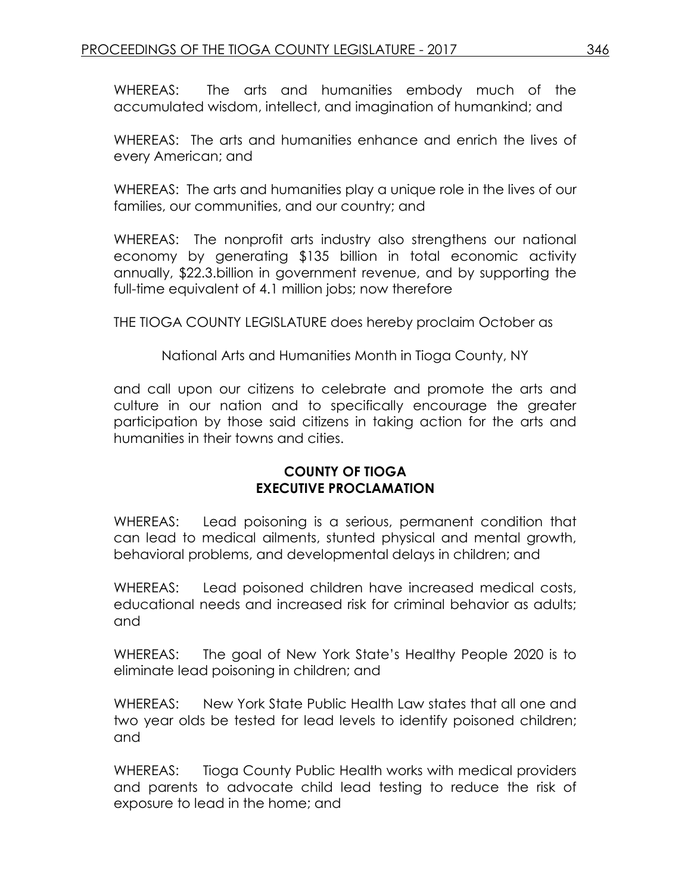WHEREAS: The arts and humanities embody much of the accumulated wisdom, intellect, and imagination of humankind; and

WHEREAS: The arts and humanities enhance and enrich the lives of every American; and

WHEREAS: The arts and humanities play a unique role in the lives of our families, our communities, and our country; and

WHEREAS: The nonprofit arts industry also strengthens our national economy by generating \$135 billion in total economic activity annually, \$22.3.billion in government revenue, and by supporting the full-time equivalent of 4.1 million jobs; now therefore

THE TIOGA COUNTY LEGISLATURE does hereby proclaim October as

National Arts and Humanities Month in Tioga County, NY

and call upon our citizens to celebrate and promote the arts and culture in our nation and to specifically encourage the greater participation by those said citizens in taking action for the arts and humanities in their towns and cities.

### **COUNTY OF TIOGA EXECUTIVE PROCLAMATION**

WHEREAS: Lead poisoning is a serious, permanent condition that can lead to medical ailments, stunted physical and mental growth, behavioral problems, and developmental delays in children; and

WHEREAS: Lead poisoned children have increased medical costs, educational needs and increased risk for criminal behavior as adults; and

WHEREAS: The goal of New York State's Healthy People 2020 is to eliminate lead poisoning in children; and

WHEREAS: New York State Public Health Law states that all one and two year olds be tested for lead levels to identify poisoned children; and

WHEREAS: Tioga County Public Health works with medical providers and parents to advocate child lead testing to reduce the risk of exposure to lead in the home; and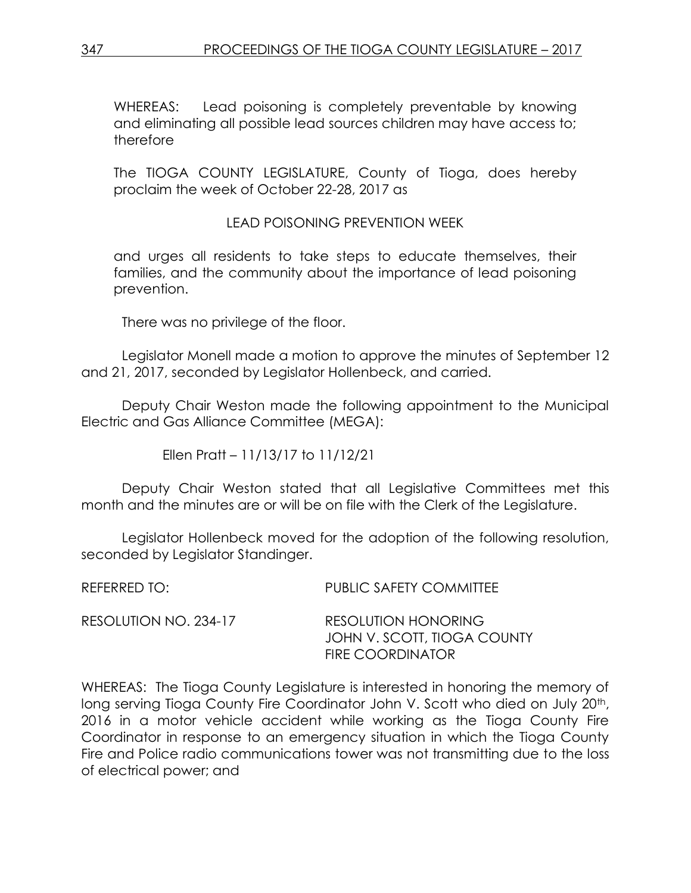WHEREAS: Lead poisoning is completely preventable by knowing and eliminating all possible lead sources children may have access to; therefore

The TIOGA COUNTY LEGISLATURE, County of Tioga, does hereby proclaim the week of October 22-28, 2017 as

# LEAD POISONING PREVENTION WEEK

and urges all residents to take steps to educate themselves, their families, and the community about the importance of lead poisoning prevention.

There was no privilege of the floor.

Legislator Monell made a motion to approve the minutes of September 12 and 21, 2017, seconded by Legislator Hollenbeck, and carried.

Deputy Chair Weston made the following appointment to the Municipal Electric and Gas Alliance Committee (MEGA):

Ellen Pratt – 11/13/17 to 11/12/21

Deputy Chair Weston stated that all Legislative Committees met this month and the minutes are or will be on file with the Clerk of the Legislature.

Legislator Hollenbeck moved for the adoption of the following resolution, seconded by Legislator Standinger.

REFERRED TO: PUBLIC SAFETY COMMITTEE RESOLUTION NO. 234-17 RESOLUTION HONORING JOHN V. SCOTT, TIOGA COUNTY FIRE COORDINATOR

WHEREAS: The Tioga County Legislature is interested in honoring the memory of long serving Tioga County Fire Coordinator John V. Scott who died on July 20<sup>th</sup>, 2016 in a motor vehicle accident while working as the Tioga County Fire Coordinator in response to an emergency situation in which the Tioga County Fire and Police radio communications tower was not transmitting due to the loss of electrical power; and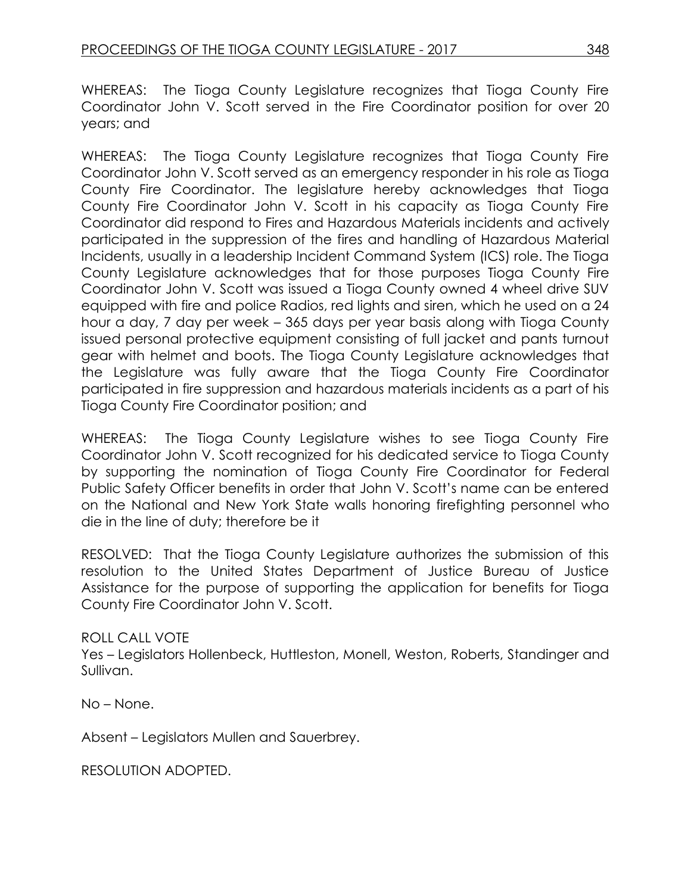WHEREAS: The Tioga County Legislature recognizes that Tioga County Fire Coordinator John V. Scott served in the Fire Coordinator position for over 20 years; and

WHEREAS: The Tioga County Legislature recognizes that Tioga County Fire Coordinator John V. Scott served as an emergency responder in his role as Tioga County Fire Coordinator. The legislature hereby acknowledges that Tioga County Fire Coordinator John V. Scott in his capacity as Tioga County Fire Coordinator did respond to Fires and Hazardous Materials incidents and actively participated in the suppression of the fires and handling of Hazardous Material Incidents, usually in a leadership Incident Command System (ICS) role. The Tioga County Legislature acknowledges that for those purposes Tioga County Fire Coordinator John V. Scott was issued a Tioga County owned 4 wheel drive SUV equipped with fire and police Radios, red lights and siren, which he used on a 24 hour a day, 7 day per week – 365 days per year basis along with Tioga County issued personal protective equipment consisting of full jacket and pants turnout gear with helmet and boots. The Tioga County Legislature acknowledges that the Legislature was fully aware that the Tioga County Fire Coordinator participated in fire suppression and hazardous materials incidents as a part of his Tioga County Fire Coordinator position; and

WHEREAS: The Tioga County Legislature wishes to see Tioga County Fire Coordinator John V. Scott recognized for his dedicated service to Tioga County by supporting the nomination of Tioga County Fire Coordinator for Federal Public Safety Officer benefits in order that John V. Scott's name can be entered on the National and New York State walls honoring firefighting personnel who die in the line of duty; therefore be it

RESOLVED: That the Tioga County Legislature authorizes the submission of this resolution to the United States Department of Justice Bureau of Justice Assistance for the purpose of supporting the application for benefits for Tioga County Fire Coordinator John V. Scott.

# ROLL CALL VOTE

Yes – Legislators Hollenbeck, Huttleston, Monell, Weston, Roberts, Standinger and Sullivan.

No – None.

Absent – Legislators Mullen and Sauerbrey.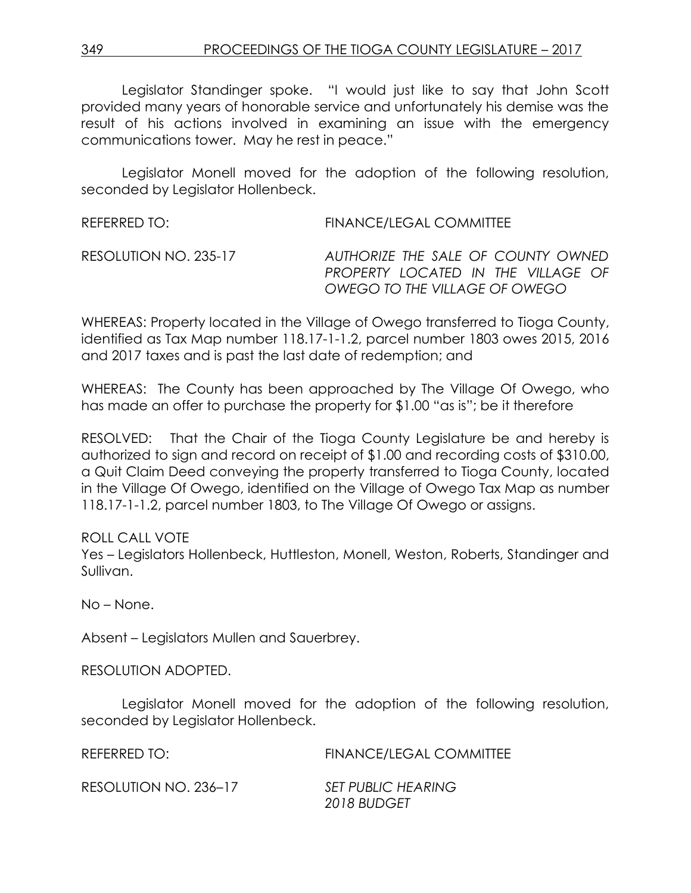Legislator Standinger spoke. "I would just like to say that John Scott provided many years of honorable service and unfortunately his demise was the result of his actions involved in examining an issue with the emergency communications tower. May he rest in peace."

Legislator Monell moved for the adoption of the following resolution, seconded by Legislator Hollenbeck.

| REFERRED TO:          | FINANCE/LEGAL COMMITTEE                                                  |
|-----------------------|--------------------------------------------------------------------------|
| RESOLUTION NO. 235-17 | AUTHORIZE THE SALE OF COUNTY OWNED<br>PROPERTY LOCATED IN THE VILLAGE OF |
|                       | OWEGO TO THE VILLAGE OF OWEGO                                            |

WHEREAS: Property located in the Village of Owego transferred to Tioga County, identified as Tax Map number 118.17-1-1.2, parcel number 1803 owes 2015, 2016 and 2017 taxes and is past the last date of redemption; and

WHEREAS: The County has been approached by The Village Of Owego, who has made an offer to purchase the property for \$1.00 "as is"; be it therefore

RESOLVED: That the Chair of the Tioga County Legislature be and hereby is authorized to sign and record on receipt of \$1.00 and recording costs of \$310.00, a Quit Claim Deed conveying the property transferred to Tioga County, located in the Village Of Owego, identified on the Village of Owego Tax Map as number 118.17-1-1.2, parcel number 1803, to The Village Of Owego or assigns.

### ROLL CALL VOTE

Yes – Legislators Hollenbeck, Huttleston, Monell, Weston, Roberts, Standinger and Sullivan.

No – None.

Absent – Legislators Mullen and Sauerbrey.

RESOLUTION ADOPTED.

Legislator Monell moved for the adoption of the following resolution, seconded by Legislator Hollenbeck.

| REFERRED TO:          | <b>FINANCE/LEGAL COMMITTEE</b> |
|-----------------------|--------------------------------|
| RESOLUTION NO. 236-17 | <b>SET PUBLIC HEARING</b>      |
|                       | 2018 BUDGET                    |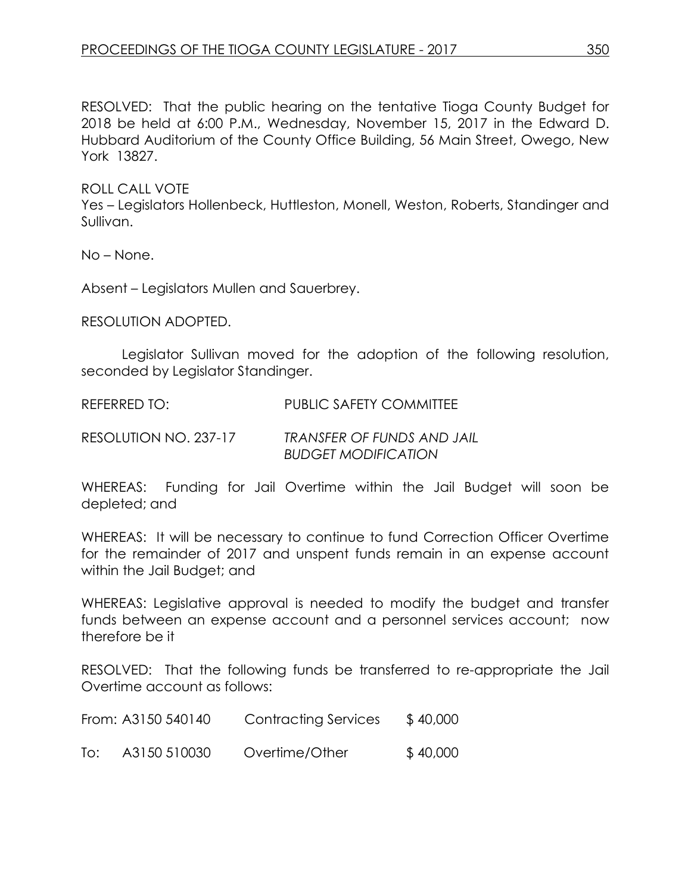RESOLVED: That the public hearing on the tentative Tioga County Budget for 2018 be held at 6:00 P.M., Wednesday, November 15, 2017 in the Edward D. Hubbard Auditorium of the County Office Building, 56 Main Street, Owego, New York 13827.

ROLL CALL VOTE

Yes – Legislators Hollenbeck, Huttleston, Monell, Weston, Roberts, Standinger and Sullivan.

No – None.

Absent – Legislators Mullen and Sauerbrey.

RESOLUTION ADOPTED.

Legislator Sullivan moved for the adoption of the following resolution, seconded by Legislator Standinger.

REFERRED TO: PUBLIC SAFETY COMMITTEE

RESOLUTION NO. 237-17 *TRANSFER OF FUNDS AND JAIL BUDGET MODIFICATION*

WHEREAS: Funding for Jail Overtime within the Jail Budget will soon be depleted; and

WHEREAS: It will be necessary to continue to fund Correction Officer Overtime for the remainder of 2017 and unspent funds remain in an expense account within the Jail Budget; and

WHEREAS: Legislative approval is needed to modify the budget and transfer funds between an expense account and a personnel services account; now therefore be it

RESOLVED: That the following funds be transferred to re-appropriate the Jail Overtime account as follows:

|     | From: A3150 540140 | <b>Contracting Services</b> | \$40,000 |
|-----|--------------------|-----------------------------|----------|
| To: | A3150 510030       | Overtime/Other              | \$40,000 |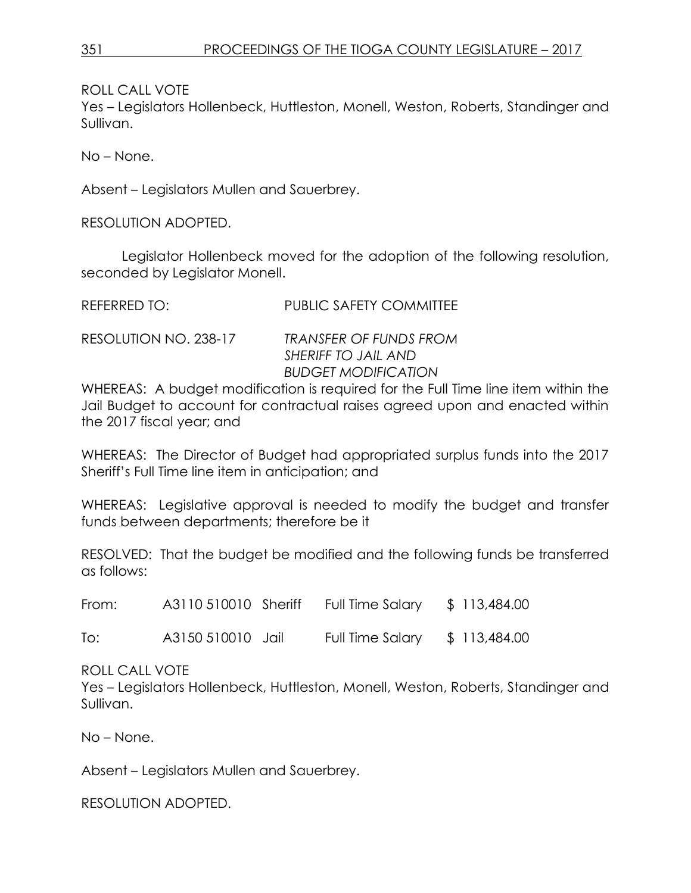ROLL CALL VOTE

Yes – Legislators Hollenbeck, Huttleston, Monell, Weston, Roberts, Standinger and Sullivan.

No – None.

Absent – Legislators Mullen and Sauerbrey.

RESOLUTION ADOPTED.

Legislator Hollenbeck moved for the adoption of the following resolution, seconded by Legislator Monell.

REFERRED TO: PUBLIC SAFETY COMMITTEE

| RESOLUTION NO. 238-17 | <b>TRANSFER OF FUNDS FROM</b> |
|-----------------------|-------------------------------|
|                       | SHERIFF TO JAIL AND           |
|                       | <b>BUDGET MODIFICATION</b>    |

WHEREAS: A budget modification is required for the Full Time line item within the Jail Budget to account for contractual raises agreed upon and enacted within the 2017 fiscal year; and

WHEREAS: The Director of Budget had appropriated surplus funds into the 2017 Sheriff's Full Time line item in anticipation; and

WHEREAS: Legislative approval is needed to modify the budget and transfer funds between departments; therefore be it

RESOLVED: That the budget be modified and the following funds be transferred as follows:

From: A3110 510010 Sheriff Full Time Salary \$ 113,484.00

To: A3150 510010 Jail Full Time Salary \$ 113,484.00

ROLL CALL VOTE

Yes – Legislators Hollenbeck, Huttleston, Monell, Weston, Roberts, Standinger and Sullivan.

No – None.

Absent – Legislators Mullen and Sauerbrey.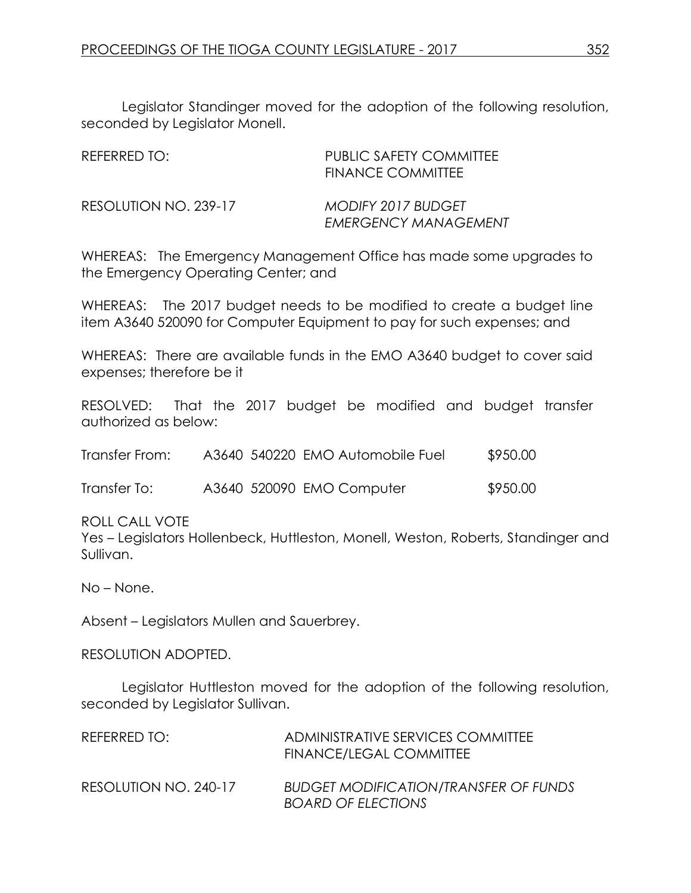Legislator Standinger moved for the adoption of the following resolution, seconded by Legislator Monell.

| REFERRED TO:          | PUBLIC SAFETY COMMITTEE<br><b>FINANCE COMMITTEE</b>      |
|-----------------------|----------------------------------------------------------|
| RESOLUTION NO. 239-17 | <b>MODIFY 2017 BUDGET</b><br><b>EMERGENCY MANAGEMENT</b> |

WHEREAS: The Emergency Management Office has made some upgrades to the Emergency Operating Center; and

WHEREAS: The 2017 budget needs to be modified to create a budget line item A3640 520090 for Computer Equipment to pay for such expenses; and

WHEREAS: There are available funds in the EMO A3640 budget to cover said expenses; therefore be it

RESOLVED: That the 2017 budget be modified and budget transfer authorized as below:

| Transfer From: |  | A3640 540220 EMO Automobile Fuel | \$950.00 |
|----------------|--|----------------------------------|----------|
|                |  |                                  |          |

Transfer To: A3640 520090 EMO Computer \$950.00

ROLL CALL VOTE

Yes – Legislators Hollenbeck, Huttleston, Monell, Weston, Roberts, Standinger and Sullivan.

No – None.

Absent – Legislators Mullen and Sauerbrey.

RESOLUTION ADOPTED.

Legislator Huttleston moved for the adoption of the following resolution, seconded by Legislator Sullivan.

| REFERRED TO:          | ADMINISTRATIVE SERVICES COMMITTEE<br>FINANCE/LEGAL COMMITTEE              |
|-----------------------|---------------------------------------------------------------------------|
| RESOLUTION NO. 240-17 | <b>BUDGET MODIFICATION/TRANSFER OF FUNDS</b><br><b>BOARD OF ELECTIONS</b> |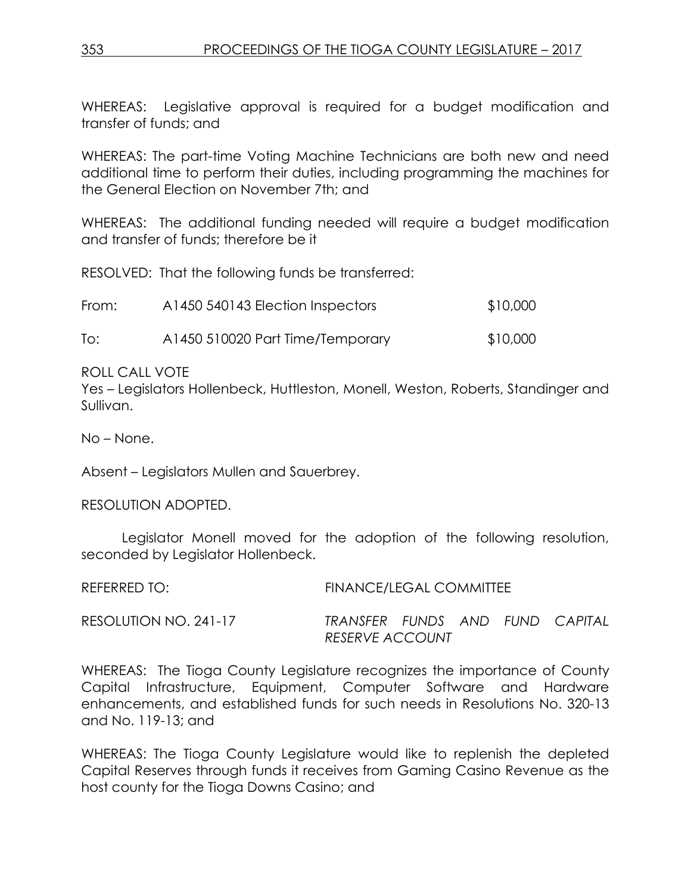WHEREAS: Legislative approval is required for a budget modification and transfer of funds; and

WHEREAS: The part-time Voting Machine Technicians are both new and need additional time to perform their duties, including programming the machines for the General Election on November 7th; and

WHEREAS: The additional funding needed will require a budget modification and transfer of funds; therefore be it

RESOLVED: That the following funds be transferred:

| From: | A1450 540143 Election Inspectors | \$10,000 |
|-------|----------------------------------|----------|
| To:   | A1450 510020 Part Time/Temporary | \$10,000 |

ROLL CALL VOTE

Yes – Legislators Hollenbeck, Huttleston, Monell, Weston, Roberts, Standinger and Sullivan.

No – None.

Absent – Legislators Mullen and Sauerbrey.

RESOLUTION ADOPTED.

Legislator Monell moved for the adoption of the following resolution, seconded by Legislator Hollenbeck.

REFERRED TO: FINANCE/LEGAL COMMITTEE RESOLUTION NO. 241-17 *TRANSFER FUNDS AND FUND CAPITAL RESERVE ACCOUNT* 

WHEREAS: The Tioga County Legislature recognizes the importance of County Capital Infrastructure, Equipment, Computer Software and Hardware enhancements, and established funds for such needs in Resolutions No. 320-13 and No. 119-13; and

WHEREAS: The Tioga County Legislature would like to replenish the depleted Capital Reserves through funds it receives from Gaming Casino Revenue as the host county for the Tioga Downs Casino; and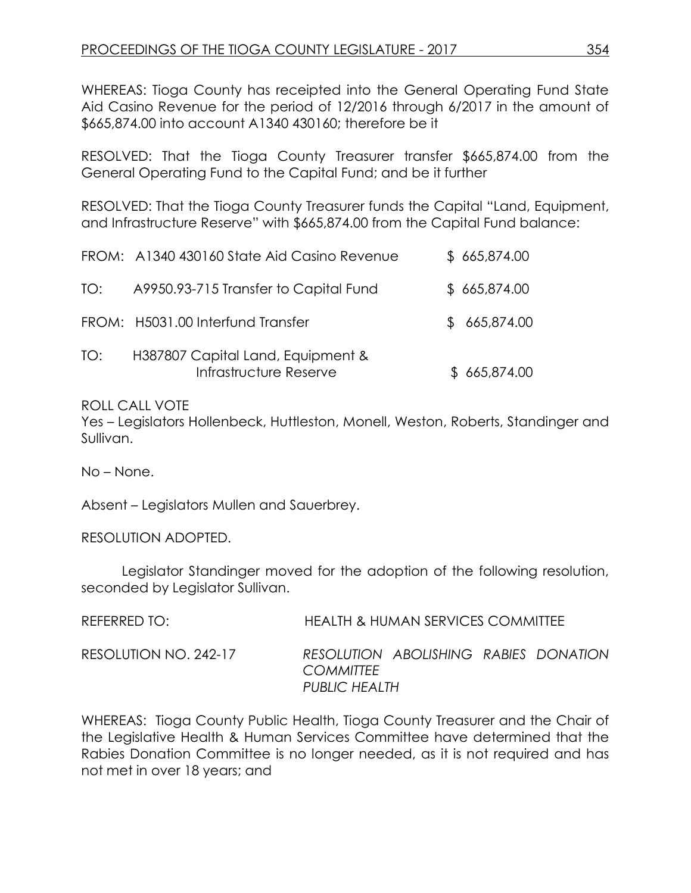WHEREAS: Tioga County has receipted into the General Operating Fund State Aid Casino Revenue for the period of 12/2016 through 6/2017 in the amount of \$665,874.00 into account A1340 430160; therefore be it

RESOLVED: That the Tioga County Treasurer transfer \$665,874.00 from the General Operating Fund to the Capital Fund; and be it further

RESOLVED: That the Tioga County Treasurer funds the Capital "Land, Equipment, and Infrastructure Reserve" with \$665,874.00 from the Capital Fund balance:

|     | FROM: A1340 430160 State Aid Casino Revenue                 | \$665,874.00 |
|-----|-------------------------------------------------------------|--------------|
| TO: | A9950.93-715 Transfer to Capital Fund                       | \$665,874.00 |
|     | FROM: H5031.00 Interfund Transfer                           | \$665,874.00 |
| TO: | H387807 Capital Land, Equipment &<br>Infrastructure Reserve | \$665,874.00 |

#### ROLL CALL VOTE

Yes – Legislators Hollenbeck, Huttleston, Monell, Weston, Roberts, Standinger and Sullivan.

No – None.

Absent – Legislators Mullen and Sauerbrey.

RESOLUTION ADOPTED.

Legislator Standinger moved for the adoption of the following resolution, seconded by Legislator Sullivan.

| REFERRED TO:          | HEALTH & HUMAN SERVICES COMMITTEE                                          |
|-----------------------|----------------------------------------------------------------------------|
| RESOLUTION NO. 242-17 | RESOLUTION ABOLISHING RABIES DONATION<br><b>COMMITTEE</b><br>PUBLIC HEALTH |

WHEREAS: Tioga County Public Health, Tioga County Treasurer and the Chair of the Legislative Health & Human Services Committee have determined that the Rabies Donation Committee is no longer needed, as it is not required and has not met in over 18 years; and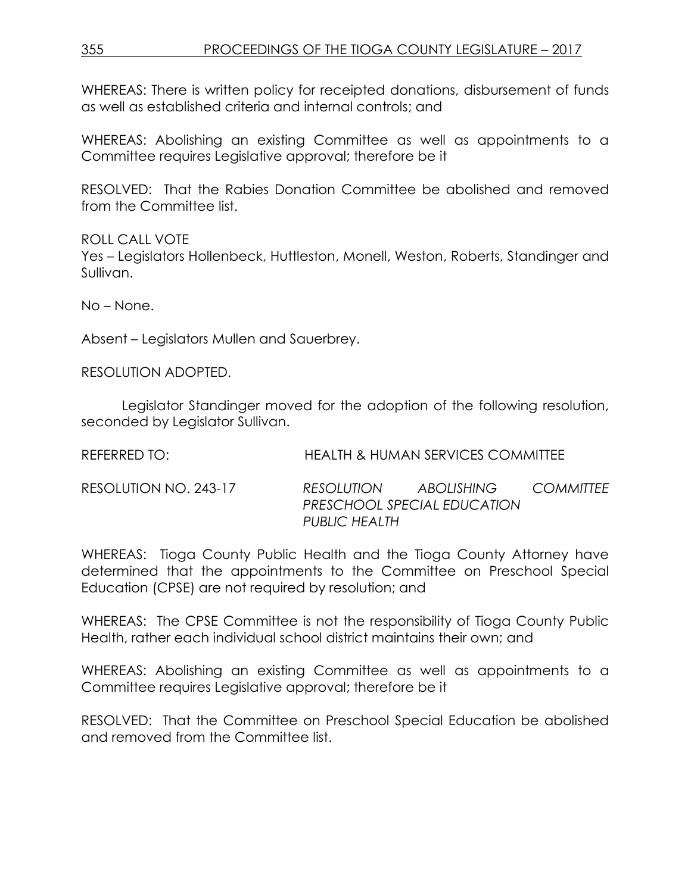WHEREAS: There is written policy for receipted donations, disbursement of funds as well as established criteria and internal controls; and

WHEREAS: Abolishing an existing Committee as well as appointments to a Committee requires Legislative approval; therefore be it

RESOLVED: That the Rabies Donation Committee be abolished and removed from the Committee list.

ROLL CALL VOTE Yes – Legislators Hollenbeck, Huttleston, Monell, Weston, Roberts, Standinger and Sullivan.

No – None.

Absent – Legislators Mullen and Sauerbrey.

RESOLUTION ADOPTED.

Legislator Standinger moved for the adoption of the following resolution, seconded by Legislator Sullivan.

| REFERRED TO:          |                      | HEALTH & HUMAN SERVICES COMMITTEE         |                  |
|-----------------------|----------------------|-------------------------------------------|------------------|
| RESOLUTION NO. 243-17 | RESOLUTION           | ABOLISHING<br>PRESCHOOL SPECIAL EDUCATION | <b>COMMITTEE</b> |
|                       | <b>PUBLIC HEALTH</b> |                                           |                  |

WHEREAS: Tioga County Public Health and the Tioga County Attorney have determined that the appointments to the Committee on Preschool Special Education (CPSE) are not required by resolution; and

WHEREAS: The CPSE Committee is not the responsibility of Tioga County Public Health, rather each individual school district maintains their own; and

WHEREAS: Abolishing an existing Committee as well as appointments to a Committee requires Legislative approval; therefore be it

RESOLVED: That the Committee on Preschool Special Education be abolished and removed from the Committee list.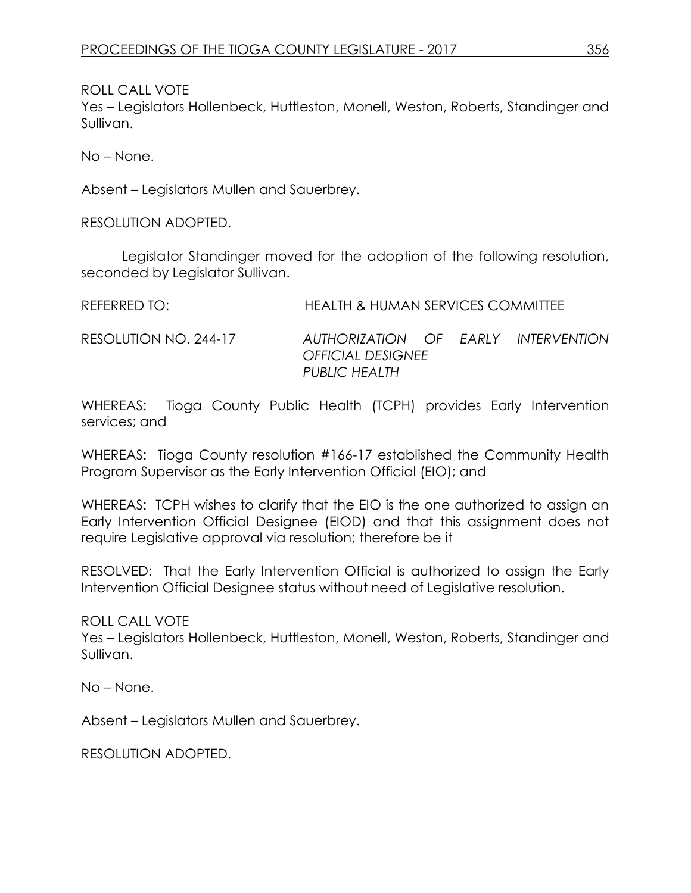ROLL CALL VOTE

Yes – Legislators Hollenbeck, Huttleston, Monell, Weston, Roberts, Standinger and Sullivan.

No – None.

Absent – Legislators Mullen and Sauerbrey.

RESOLUTION ADOPTED.

Legislator Standinger moved for the adoption of the following resolution, seconded by Legislator Sullivan.

| REFERRED TO:          | HEALTH & HUMAN SERVICES COMMITTEE                                      |
|-----------------------|------------------------------------------------------------------------|
| RESOLUTION NO. 244-17 | AUTHORIZATION OF EARLY INTERVENTION<br><i><b>OFFICIAL DESIGNEE</b></i> |
|                       | PUBLIC HEALTH                                                          |

WHEREAS: Tioga County Public Health (TCPH) provides Early Intervention services; and

WHEREAS: Tioga County resolution #166-17 established the Community Health Program Supervisor as the Early Intervention Official (EIO); and

WHEREAS: TCPH wishes to clarify that the EIO is the one authorized to assign an Early Intervention Official Designee (EIOD) and that this assignment does not require Legislative approval via resolution; therefore be it

RESOLVED: That the Early Intervention Official is authorized to assign the Early Intervention Official Designee status without need of Legislative resolution.

ROLL CALL VOTE

Yes – Legislators Hollenbeck, Huttleston, Monell, Weston, Roberts, Standinger and Sullivan.

No – None.

Absent – Legislators Mullen and Sauerbrey.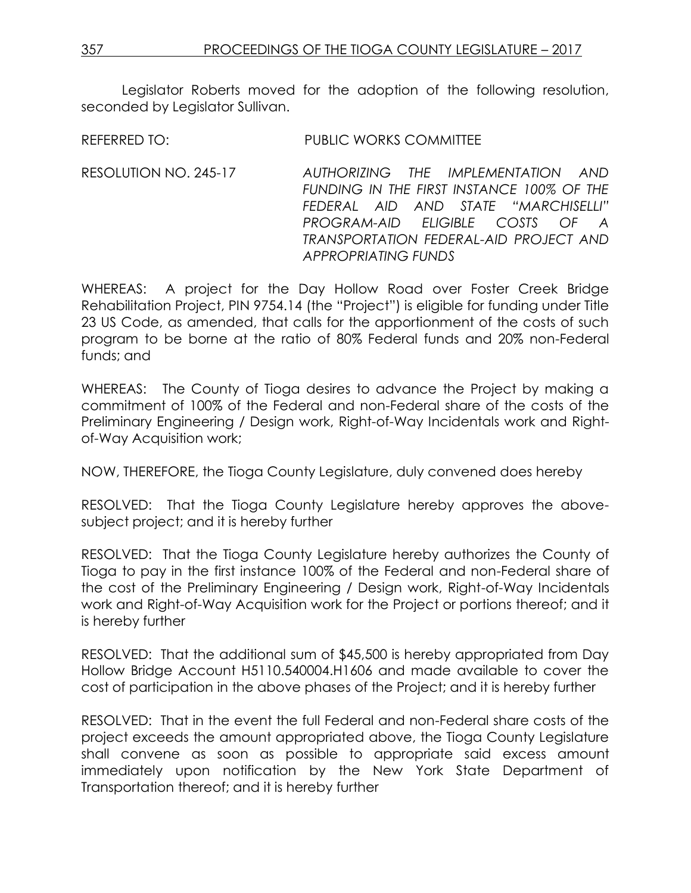Legislator Roberts moved for the adoption of the following resolution, seconded by Legislator Sullivan.

REFERRED TO: PUBLIC WORKS COMMITTEE

RESOLUTION NO. 245-17 *AUTHORIZING THE IMPLEMENTATION AND FUNDING IN THE FIRST INSTANCE 100% OF THE FEDERAL AID AND STATE "MARCHISELLI" PROGRAM-AID ELIGIBLE COSTS OF A TRANSPORTATION FEDERAL-AID PROJECT AND APPROPRIATING FUNDS*

WHEREAS: A project for the Day Hollow Road over Foster Creek Bridge Rehabilitation Project, PIN 9754.14 (the "Project") is eligible for funding under Title 23 US Code, as amended, that calls for the apportionment of the costs of such program to be borne at the ratio of 80% Federal funds and 20% non-Federal funds; and

WHEREAS: The County of Tioga desires to advance the Project by making a commitment of 100% of the Federal and non-Federal share of the costs of the Preliminary Engineering / Design work, Right-of-Way Incidentals work and Rightof-Way Acquisition work;

NOW, THEREFORE, the Tioga County Legislature, duly convened does hereby

RESOLVED: That the Tioga County Legislature hereby approves the abovesubject project; and it is hereby further

RESOLVED: That the Tioga County Legislature hereby authorizes the County of Tioga to pay in the first instance 100% of the Federal and non-Federal share of the cost of the Preliminary Engineering / Design work, Right-of-Way Incidentals work and Right-of-Way Acquisition work for the Project or portions thereof; and it is hereby further

RESOLVED: That the additional sum of \$45,500 is hereby appropriated from Day Hollow Bridge Account H5110.540004.H1606 and made available to cover the cost of participation in the above phases of the Project; and it is hereby further

RESOLVED: That in the event the full Federal and non-Federal share costs of the project exceeds the amount appropriated above, the Tioga County Legislature shall convene as soon as possible to appropriate said excess amount immediately upon notification by the New York State Department of Transportation thereof; and it is hereby further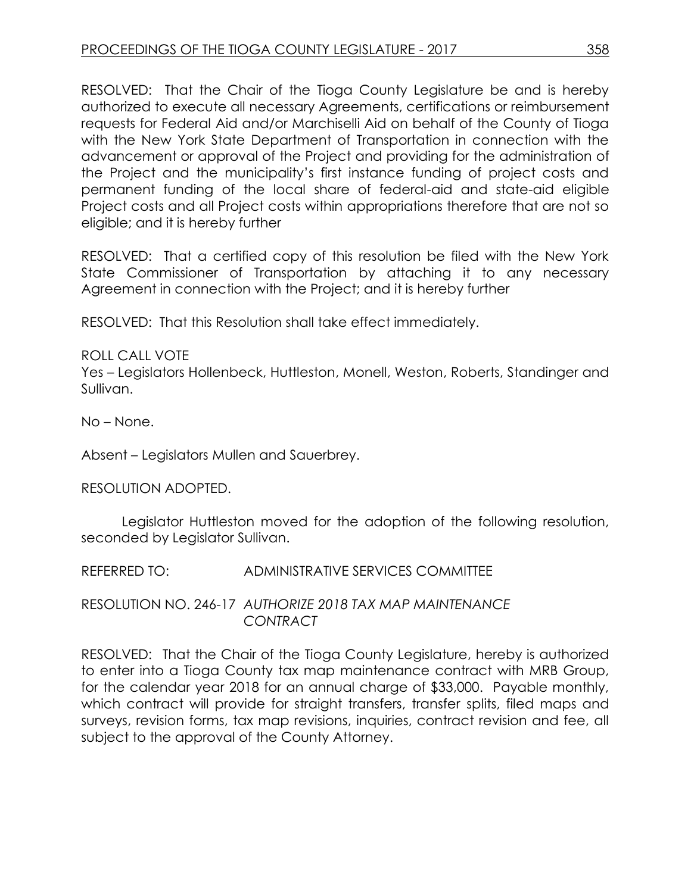RESOLVED: That the Chair of the Tioga County Legislature be and is hereby authorized to execute all necessary Agreements, certifications or reimbursement requests for Federal Aid and/or Marchiselli Aid on behalf of the County of Tioga with the New York State Department of Transportation in connection with the advancement or approval of the Project and providing for the administration of the Project and the municipality's first instance funding of project costs and permanent funding of the local share of federal-aid and state-aid eligible Project costs and all Project costs within appropriations therefore that are not so eligible; and it is hereby further

RESOLVED: That a certified copy of this resolution be filed with the New York State Commissioner of Transportation by attaching it to any necessary Agreement in connection with the Project; and it is hereby further

RESOLVED: That this Resolution shall take effect immediately.

# ROLL CALL VOTE

Yes – Legislators Hollenbeck, Huttleston, Monell, Weston, Roberts, Standinger and Sullivan.

No – None.

Absent – Legislators Mullen and Sauerbrey.

### RESOLUTION ADOPTED.

Legislator Huttleston moved for the adoption of the following resolution, seconded by Legislator Sullivan.

REFERRED TO: ADMINISTRATIVE SERVICES COMMITTEE

RESOLUTION NO. 246-17 *AUTHORIZE 2018 TAX MAP MAINTENANCE CONTRACT*

RESOLVED: That the Chair of the Tioga County Legislature, hereby is authorized to enter into a Tioga County tax map maintenance contract with MRB Group, for the calendar year 2018 for an annual charge of \$33,000. Payable monthly, which contract will provide for straight transfers, transfer splits, filed maps and surveys, revision forms, tax map revisions, inquiries, contract revision and fee, all subject to the approval of the County Attorney.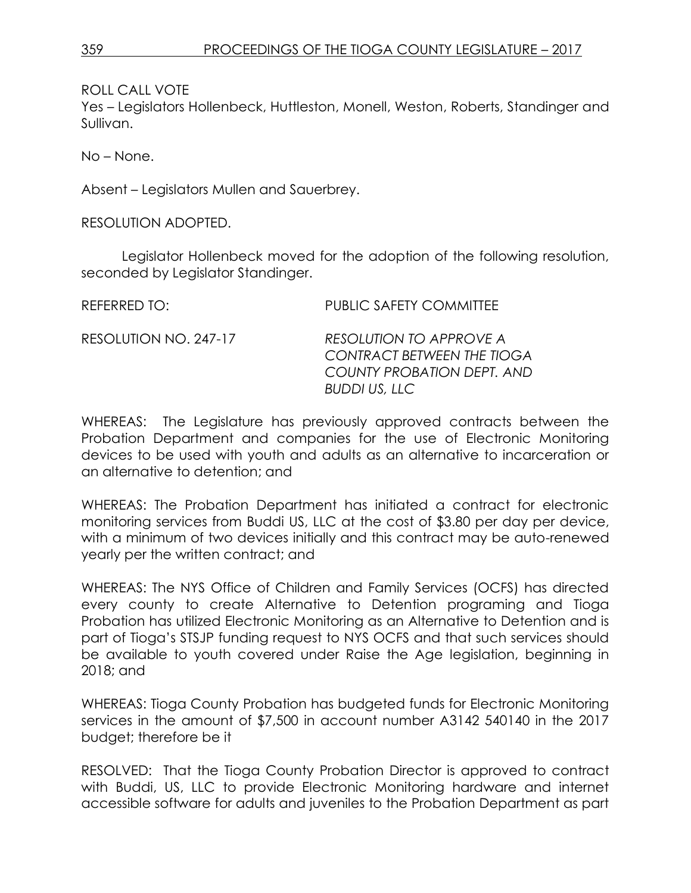ROLL CALL VOTE

Yes – Legislators Hollenbeck, Huttleston, Monell, Weston, Roberts, Standinger and Sullivan.

No – None.

Absent – Legislators Mullen and Sauerbrey.

RESOLUTION ADOPTED.

Legislator Hollenbeck moved for the adoption of the following resolution, seconded by Legislator Standinger.

| REFERRED TO:          | PUBLIC SAFETY COMMITTEE                                                                                            |
|-----------------------|--------------------------------------------------------------------------------------------------------------------|
| RESOLUTION NO. 247-17 | RESOLUTION TO APPROVE A<br><b>CONTRACT BETWEEN THE TIOGA</b><br><b>COUNTY PROBATION DEPT. AND</b><br>BUDDI US, LLC |

WHEREAS: The Legislature has previously approved contracts between the Probation Department and companies for the use of Electronic Monitoring devices to be used with youth and adults as an alternative to incarceration or an alternative to detention; and

WHEREAS: The Probation Department has initiated a contract for electronic monitoring services from Buddi US, LLC at the cost of \$3.80 per day per device, with a minimum of two devices initially and this contract may be auto-renewed yearly per the written contract; and

WHEREAS: The NYS Office of Children and Family Services (OCFS) has directed every county to create Alternative to Detention programing and Tioga Probation has utilized Electronic Monitoring as an Alternative to Detention and is part of Tioga's STSJP funding request to NYS OCFS and that such services should be available to youth covered under Raise the Age legislation, beginning in 2018; and

WHEREAS: Tioga County Probation has budgeted funds for Electronic Monitoring services in the amount of \$7,500 in account number A3142 540140 in the 2017 budget; therefore be it

RESOLVED: That the Tioga County Probation Director is approved to contract with Buddi, US, LLC to provide Electronic Monitoring hardware and internet accessible software for adults and juveniles to the Probation Department as part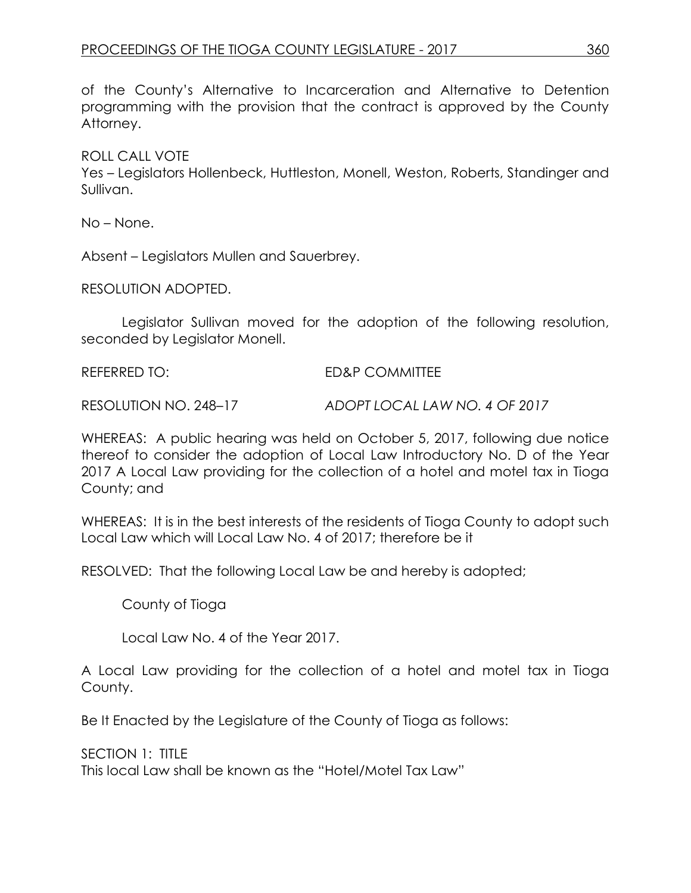of the County's Alternative to Incarceration and Alternative to Detention programming with the provision that the contract is approved by the County Attorney.

ROLL CALL VOTE

Yes – Legislators Hollenbeck, Huttleston, Monell, Weston, Roberts, Standinger and Sullivan.

No – None.

Absent – Legislators Mullen and Sauerbrey.

RESOLUTION ADOPTED.

Legislator Sullivan moved for the adoption of the following resolution, seconded by Legislator Monell.

REFERRED TO: ED&P COMMITTEE

RESOLUTION NO. 248–17 *ADOPT LOCAL LAW NO. 4 OF 2017*

WHEREAS: A public hearing was held on October 5, 2017, following due notice thereof to consider the adoption of Local Law Introductory No. D of the Year 2017 A Local Law providing for the collection of a hotel and motel tax in Tioga County; and

WHEREAS: It is in the best interests of the residents of Tioga County to adopt such Local Law which will Local Law No. 4 of 2017; therefore be it

RESOLVED: That the following Local Law be and hereby is adopted;

County of Tioga

Local Law No. 4 of the Year 2017.

A Local Law providing for the collection of a hotel and motel tax in Tioga County.

Be It Enacted by the Legislature of the County of Tioga as follows:

SECTION 1: TITLE

This local Law shall be known as the "Hotel/Motel Tax Law"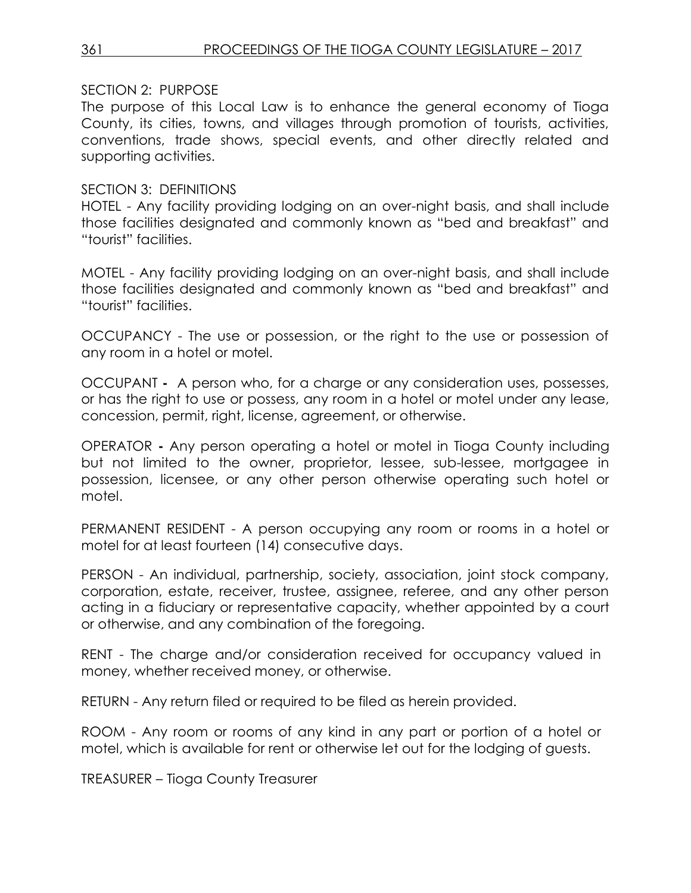#### SECTION 2: PURPOSE

The purpose of this Local Law is to enhance the general economy of Tioga County, its cities, towns, and villages through promotion of tourists, activities, conventions, trade shows, special events, and other directly related and supporting activities.

#### SECTION 3: DEFINITIONS

HOTEL - Any facility providing lodging on an over-night basis, and shall include those facilities designated and commonly known as "bed and breakfast" and "tourist" facilities.

MOTEL - Any facility providing lodging on an over-night basis, and shall include those facilities designated and commonly known as "bed and breakfast" and "tourist" facilities.

OCCUPANCY - The use or possession, or the right to the use or possession of any room in a hotel or motel.

OCCUPANT **-** A person who, for a charge or any consideration uses, possesses, or has the right to use or possess, any room in a hotel or motel under any lease, concession, permit, right, license, agreement, or otherwise.

OPERATOR **-** Any person operating a hotel or motel in Tioga County including but not limited to the owner, proprietor, lessee, sub-lessee, mortgagee in possession, licensee, or any other person otherwise operating such hotel or motel.

PERMANENT RESIDENT - A person occupying any room or rooms in a hotel or motel for at least fourteen (14) consecutive days.

PERSON - An individual, partnership, society, association, joint stock company, corporation, estate, receiver, trustee, assignee, referee, and any other person acting in a fiduciary or representative capacity, whether appointed by a court or otherwise, and any combination of the foregoing.

RENT - The charge and/or consideration received for occupancy valued in money, whether received money, or otherwise.

RETURN - Any return filed or required to be filed as herein provided.

ROOM - Any room or rooms of any kind in any part or portion of a hotel or motel, which is available for rent or otherwise let out for the lodging of guests.

TREASURER – Tioga County Treasurer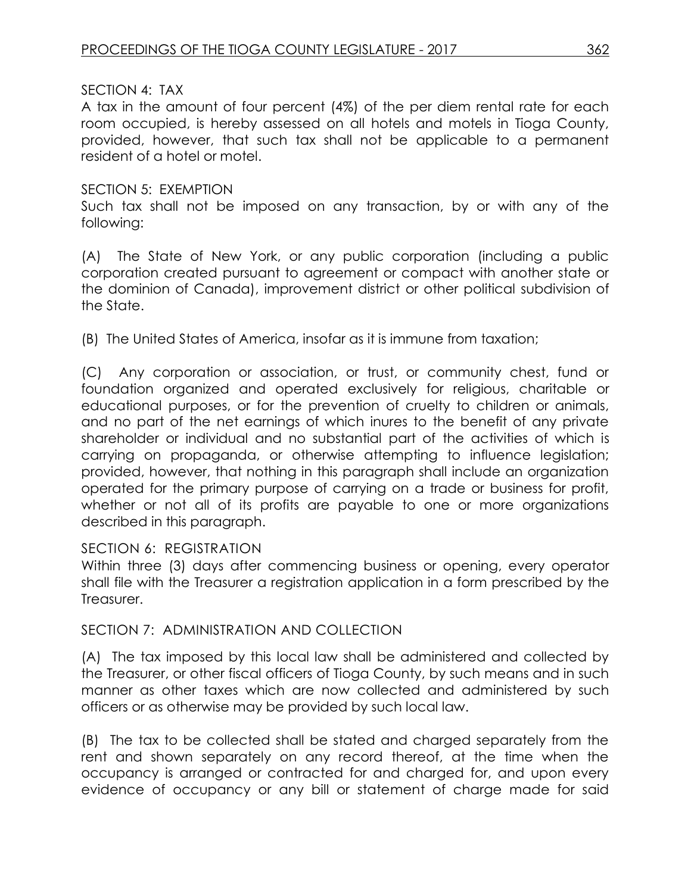### SECTION 4: TAX

A tax in the amount of four percent (4%) of the per diem rental rate for each room occupied, is hereby assessed on all hotels and motels in Tioga County, provided, however, that such tax shall not be applicable to a permanent resident of a hotel or motel.

#### SECTION 5: EXEMPTION

Such tax shall not be imposed on any transaction, by or with any of the following:

(A) The State of New York, or any public corporation (including a public corporation created pursuant to agreement or compact with another state or the dominion of Canada), improvement district or other political subdivision of the State.

(B) The United States of America, insofar as it is immune from taxation;

(C) Any corporation or association, or trust, or community chest, fund or foundation organized and operated exclusively for religious, charitable or educational purposes, or for the prevention of cruelty to children or animals, and no part of the net earnings of which inures to the benefit of any private shareholder or individual and no substantial part of the activities of which is carrying on propaganda, or otherwise attempting to influence legislation; provided, however, that nothing in this paragraph shall include an organization operated for the primary purpose of carrying on a trade or business for profit, whether or not all of its profits are payable to one or more organizations described in this paragraph.

### SECTION 6: REGISTRATION

Within three (3) days after commencing business or opening, every operator shall file with the Treasurer a registration application in a form prescribed by the Treasurer.

#### SECTION 7: ADMINISTRATION AND COLLECTION

(A) The tax imposed by this local law shall be administered and collected by the Treasurer, or other fiscal officers of Tioga County, by such means and in such manner as other taxes which are now collected and administered by such officers or as otherwise may be provided by such local law.

(B) The tax to be collected shall be stated and charged separately from the rent and shown separately on any record thereof, at the time when the occupancy is arranged or contracted for and charged for, and upon every evidence of occupancy or any bill or statement of charge made for said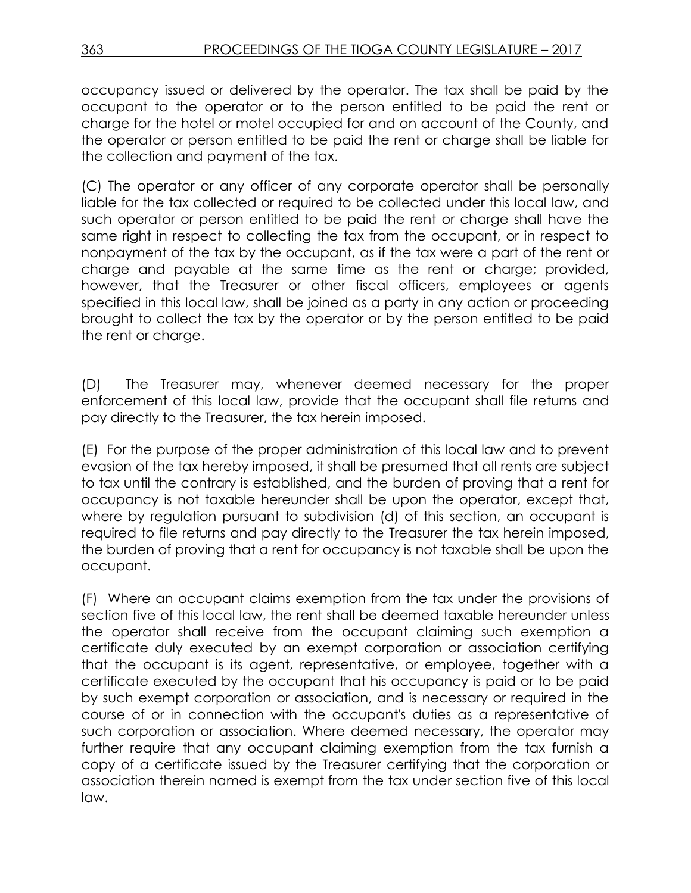occupancy issued or delivered by the operator. The tax shall be paid by the occupant to the operator or to the person entitled to be paid the rent or charge for the hotel or motel occupied for and on account of the County, and the operator or person entitled to be paid the rent or charge shall be liable for the collection and payment of the tax.

(C) The operator or any officer of any corporate operator shall be personally liable for the tax collected or required to be collected under this local law, and such operator or person entitled to be paid the rent or charge shall have the same right in respect to collecting the tax from the occupant, or in respect to nonpayment of the tax by the occupant, as if the tax were a part of the rent or charge and payable at the same time as the rent or charge; provided, however, that the Treasurer or other fiscal officers, employees or agents specified in this local law, shall be joined as a party in any action or proceeding brought to collect the tax by the operator or by the person entitled to be paid the rent or charge.

(D) The Treasurer may, whenever deemed necessary for the proper enforcement of this local law, provide that the occupant shall file returns and pay directly to the Treasurer, the tax herein imposed.

(E) For the purpose of the proper administration of this local law and to prevent evasion of the tax hereby imposed, it shall be presumed that all rents are subject to tax until the contrary is established, and the burden of proving that a rent for occupancy is not taxable hereunder shall be upon the operator, except that, where by regulation pursuant to subdivision (d) of this section, an occupant is required to file returns and pay directly to the Treasurer the tax herein imposed, the burden of proving that a rent for occupancy is not taxable shall be upon the occupant.

(F) Where an occupant claims exemption from the tax under the provisions of section five of this local law, the rent shall be deemed taxable hereunder unless the operator shall receive from the occupant claiming such exemption a certificate duly executed by an exempt corporation or association certifying that the occupant is its agent, representative, or employee, together with a certificate executed by the occupant that his occupancy is paid or to be paid by such exempt corporation or association, and is necessary or required in the course of or in connection with the occupant's duties as a representative of such corporation or association. Where deemed necessary, the operator may further require that any occupant claiming exemption from the tax furnish a copy of a certificate issued by the Treasurer certifying that the corporation or association therein named is exempt from the tax under section five of this local law.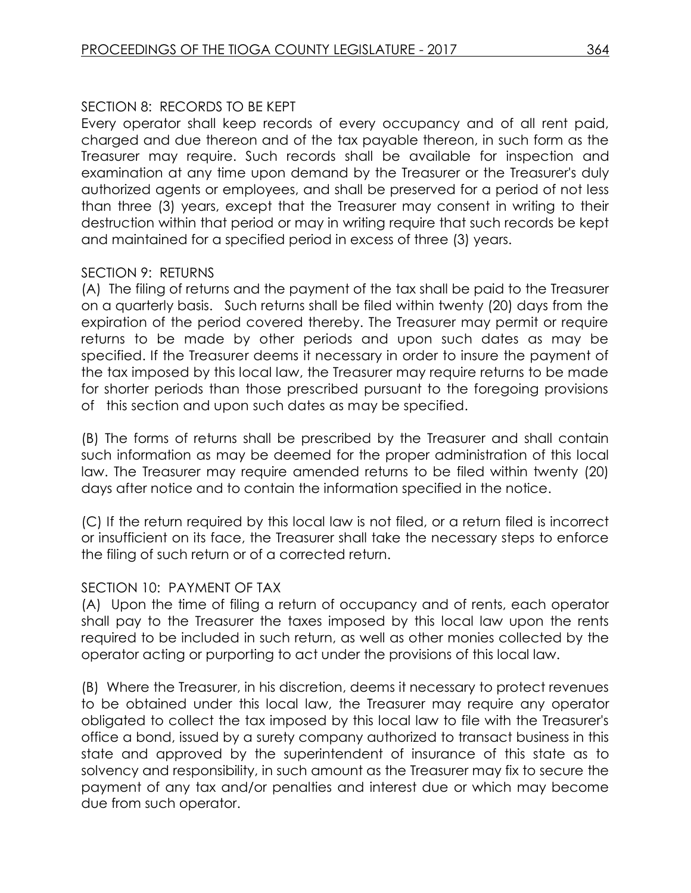# SECTION 8: RECORDS TO BE KEPT

Every operator shall keep records of every occupancy and of all rent paid, charged and due thereon and of the tax payable thereon, in such form as the Treasurer may require. Such records shall be available for inspection and examination at any time upon demand by the Treasurer or the Treasurer's duly authorized agents or employees, and shall be preserved for a period of not less than three (3) years, except that the Treasurer may consent in writing to their destruction within that period or may in writing require that such records be kept and maintained for a specified period in excess of three (3) years.

### SECTION 9: RETURNS

(A) The filing of returns and the payment of the tax shall be paid to the Treasurer on a quarterly basis. Such returns shall be filed within twenty (20) days from the expiration of the period covered thereby. The Treasurer may permit or require returns to be made by other periods and upon such dates as may be specified. If the Treasurer deems it necessary in order to insure the payment of the tax imposed by this local law, the Treasurer may require returns to be made for shorter periods than those prescribed pursuant to the foregoing provisions of this section and upon such dates as may be specified.

(B) The forms of returns shall be prescribed by the Treasurer and shall contain such information as may be deemed for the proper administration of this local law. The Treasurer may require amended returns to be filed within twenty (20) days after notice and to contain the information specified in the notice.

(C) If the return required by this local law is not filed, or a return filed is incorrect or insufficient on its face, the Treasurer shall take the necessary steps to enforce the filing of such return or of a corrected return.

### SECTION 10: PAYMENT OF TAX

(A) Upon the time of filing a return of occupancy and of rents, each operator shall pay to the Treasurer the taxes imposed by this local law upon the rents required to be included in such return, as well as other monies collected by the operator acting or purporting to act under the provisions of this local law.

(B) Where the Treasurer, in his discretion, deems it necessary to protect revenues to be obtained under this local law, the Treasurer may require any operator obligated to collect the tax imposed by this local law to file with the Treasurer's office a bond, issued by a surety company authorized to transact business in this state and approved by the superintendent of insurance of this state as to solvency and responsibility, in such amount as the Treasurer may fix to secure the payment of any tax and/or penalties and interest due or which may become due from such operator.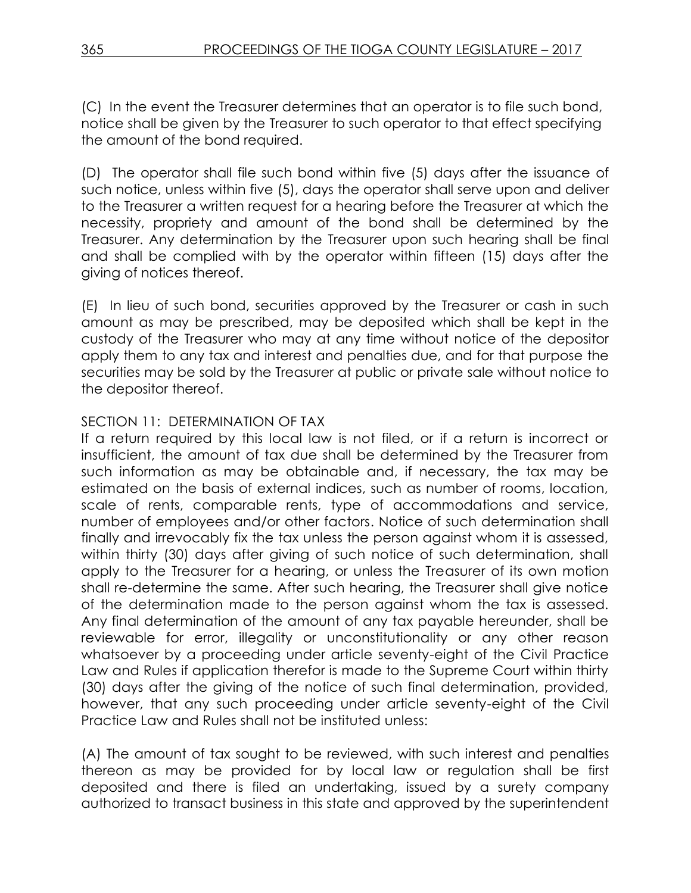(C) In the event the Treasurer determines that an operator is to file such bond, notice shall be given by the Treasurer to such operator to that effect specifying the amount of the bond required.

(D) The operator shall file such bond within five (5) days after the issuance of such notice, unless within five (5), days the operator shall serve upon and deliver to the Treasurer a written request for a hearing before the Treasurer at which the necessity, propriety and amount of the bond shall be determined by the Treasurer. Any determination by the Treasurer upon such hearing shall be final and shall be complied with by the operator within fifteen (15) days after the giving of notices thereof.

(E) In lieu of such bond, securities approved by the Treasurer or cash in such amount as may be prescribed, may be deposited which shall be kept in the custody of the Treasurer who may at any time without notice of the depositor apply them to any tax and interest and penalties due, and for that purpose the securities may be sold by the Treasurer at public or private sale without notice to the depositor thereof.

# SECTION 11: DETERMINATION OF TAX

If a return required by this local law is not filed, or if a return is incorrect or insufficient, the amount of tax due shall be determined by the Treasurer from such information as may be obtainable and, if necessary, the tax may be estimated on the basis of external indices, such as number of rooms, location, scale of rents, comparable rents, type of accommodations and service, number of employees and/or other factors. Notice of such determination shall finally and irrevocably fix the tax unless the person against whom it is assessed, within thirty (30) days after giving of such notice of such determination, shall apply to the Treasurer for a hearing, or unless the Treasurer of its own motion shall re-determine the same. After such hearing, the Treasurer shall give notice of the determination made to the person against whom the tax is assessed. Any final determination of the amount of any tax payable hereunder, shall be reviewable for error, illegality or unconstitutionality or any other reason whatsoever by a proceeding under article seventy-eight of the Civil Practice Law and Rules if application therefor is made to the Supreme Court within thirty (30) days after the giving of the notice of such final determination, provided, however, that any such proceeding under article seventy-eight of the Civil Practice Law and Rules shall not be instituted unless:

(A) The amount of tax sought to be reviewed, with such interest and penalties thereon as may be provided for by local law or regulation shall be first deposited and there is filed an undertaking, issued by a surety company authorized to transact business in this state and approved by the superintendent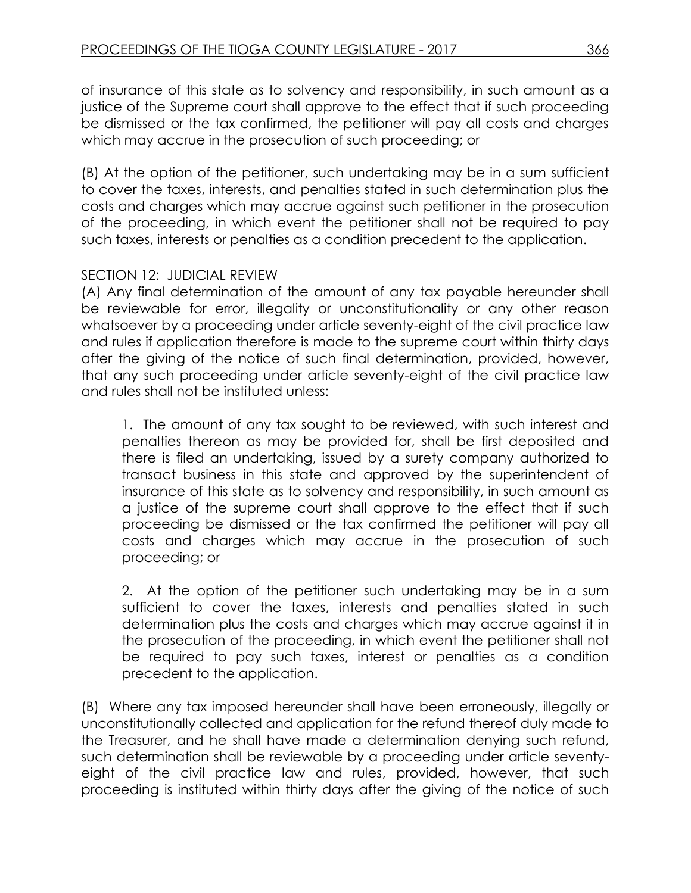of insurance of this state as to solvency and responsibility, in such amount as a justice of the Supreme court shall approve to the effect that if such proceeding be dismissed or the tax confirmed, the petitioner will pay all costs and charges which may accrue in the prosecution of such proceeding; or

(B) At the option of the petitioner, such undertaking may be in a sum sufficient to cover the taxes, interests, and penalties stated in such determination plus the costs and charges which may accrue against such petitioner in the prosecution of the proceeding, in which event the petitioner shall not be required to pay such taxes, interests or penalties as a condition precedent to the application.

# SECTION 12: JUDICIAL REVIEW

(A) Any final determination of the amount of any tax payable hereunder shall be reviewable for error, illegality or unconstitutionality or any other reason whatsoever by a proceeding under article seventy-eight of the civil practice law and rules if application therefore is made to the supreme court within thirty days after the giving of the notice of such final determination, provided, however, that any such proceeding under article seventy-eight of the civil practice law and rules shall not be instituted unless:

1. The amount of any tax sought to be reviewed, with such interest and penalties thereon as may be provided for, shall be first deposited and there is filed an undertaking, issued by a surety company authorized to transact business in this state and approved by the superintendent of insurance of this state as to solvency and responsibility, in such amount as a justice of the supreme court shall approve to the effect that if such proceeding be dismissed or the tax confirmed the petitioner will pay all costs and charges which may accrue in the prosecution of such proceeding; or

2. At the option of the petitioner such undertaking may be in a sum sufficient to cover the taxes, interests and penalties stated in such determination plus the costs and charges which may accrue against it in the prosecution of the proceeding, in which event the petitioner shall not be required to pay such taxes, interest or penalties as a condition precedent to the application.

(B) Where any tax imposed hereunder shall have been erroneously, illegally or unconstitutionally collected and application for the refund thereof duly made to the Treasurer, and he shall have made a determination denying such refund, such determination shall be reviewable by a proceeding under article seventyeight of the civil practice law and rules, provided, however, that such proceeding is instituted within thirty days after the giving of the notice of such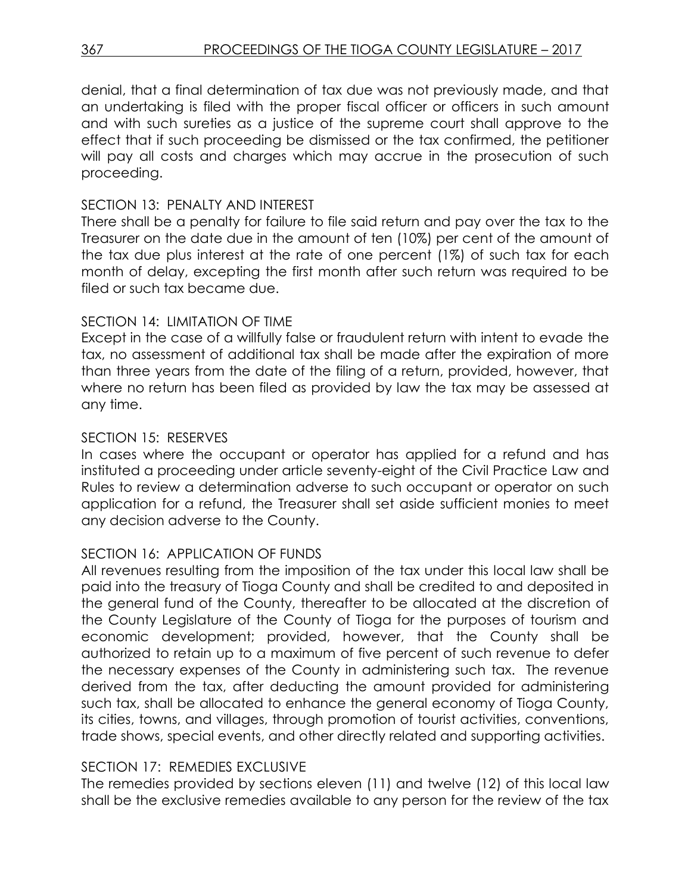denial, that a final determination of tax due was not previously made, and that an undertaking is filed with the proper fiscal officer or officers in such amount and with such sureties as a justice of the supreme court shall approve to the effect that if such proceeding be dismissed or the tax confirmed, the petitioner will pay all costs and charges which may accrue in the prosecution of such proceeding.

### SECTION 13: PENALTY AND INTEREST

There shall be a penalty for failure to file said return and pay over the tax to the Treasurer on the date due in the amount of ten (10%) per cent of the amount of the tax due plus interest at the rate of one percent (1%) of such tax for each month of delay, excepting the first month after such return was required to be filed or such tax became due.

# SECTION 14: LIMITATION OF TIME

Except in the case of a willfully false or fraudulent return with intent to evade the tax, no assessment of additional tax shall be made after the expiration of more than three years from the date of the filing of a return, provided, however, that where no return has been filed as provided by law the tax may be assessed at any time.

# SECTION 15: RESERVES

In cases where the occupant or operator has applied for a refund and has instituted a proceeding under article seventy-eight of the Civil Practice Law and Rules to review a determination adverse to such occupant or operator on such application for a refund, the Treasurer shall set aside sufficient monies to meet any decision adverse to the County.

# SECTION 16: APPLICATION OF FUNDS

All revenues resulting from the imposition of the tax under this local law shall be paid into the treasury of Tioga County and shall be credited to and deposited in the general fund of the County, thereafter to be allocated at the discretion of the County Legislature of the County of Tioga for the purposes of tourism and economic development; provided, however, that the County shall be authorized to retain up to a maximum of five percent of such revenue to defer the necessary expenses of the County in administering such tax. The revenue derived from the tax, after deducting the amount provided for administering such tax, shall be allocated to enhance the general economy of Tioga County, its cities, towns, and villages, through promotion of tourist activities, conventions, trade shows, special events, and other directly related and supporting activities.

### SECTION 17: REMEDIES EXCLUSIVE

The remedies provided by sections eleven (11) and twelve (12) of this local law shall be the exclusive remedies available to any person for the review of the tax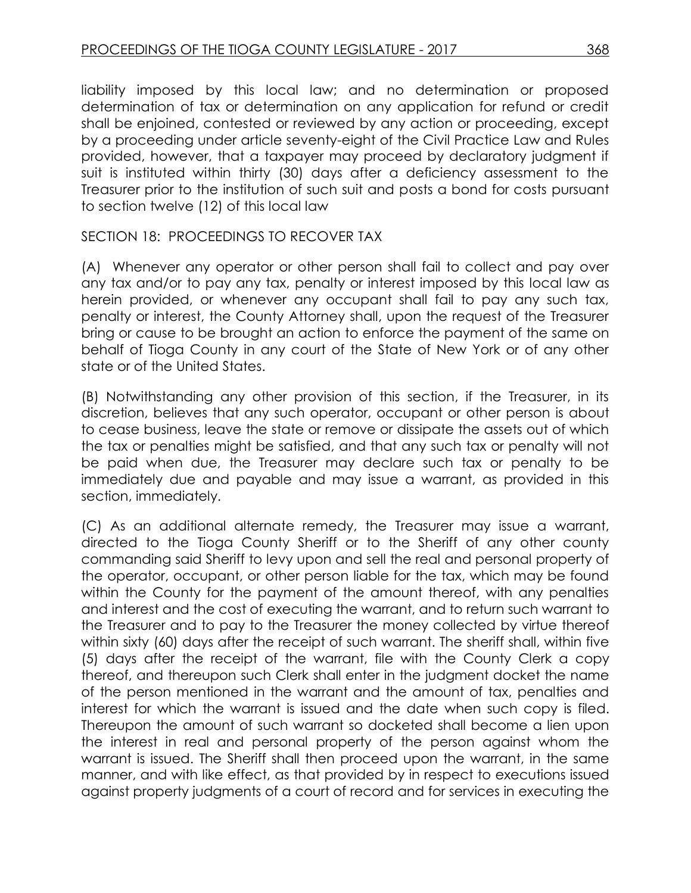liability imposed by this local law; and no determination or proposed determination of tax or determination on any application for refund or credit shall be enjoined, contested or reviewed by any action or proceeding, except by a proceeding under article seventy-eight of the Civil Practice Law and Rules provided, however, that a taxpayer may proceed by declaratory judgment if suit is instituted within thirty (30) days after a deficiency assessment to the Treasurer prior to the institution of such suit and posts a bond for costs pursuant to section twelve (12) of this local law

### SECTION 18: PROCEEDINGS TO RECOVER TAX

(A) Whenever any operator or other person shall fail to collect and pay over any tax and/or to pay any tax, penalty or interest imposed by this local law as herein provided, or whenever any occupant shall fail to pay any such tax, penalty or interest, the County Attorney shall, upon the request of the Treasurer bring or cause to be brought an action to enforce the payment of the same on behalf of Tioga County in any court of the State of New York or of any other state or of the United States.

(B) Notwithstanding any other provision of this section, if the Treasurer, in its discretion, believes that any such operator, occupant or other person is about to cease business, leave the state or remove or dissipate the assets out of which the tax or penalties might be satisfied, and that any such tax or penalty will not be paid when due, the Treasurer may declare such tax or penalty to be immediately due and payable and may issue a warrant, as provided in this section, immediately.

(C) As an additional alternate remedy, the Treasurer may issue a warrant, directed to the Tioga County Sheriff or to the Sheriff of any other county commanding said Sheriff to levy upon and sell the real and personal property of the operator, occupant, or other person liable for the tax, which may be found within the County for the payment of the amount thereof, with any penalties and interest and the cost of executing the warrant, and to return such warrant to the Treasurer and to pay to the Treasurer the money collected by virtue thereof within sixty (60) days after the receipt of such warrant. The sheriff shall, within five (5) days after the receipt of the warrant, file with the County Clerk a copy thereof, and thereupon such Clerk shall enter in the judgment docket the name of the person mentioned in the warrant and the amount of tax, penalties and interest for which the warrant is issued and the date when such copy is filed. Thereupon the amount of such warrant so docketed shall become a lien upon the interest in real and personal property of the person against whom the warrant is issued. The Sheriff shall then proceed upon the warrant, in the same manner, and with like effect, as that provided by in respect to executions issued against property judgments of a court of record and for services in executing the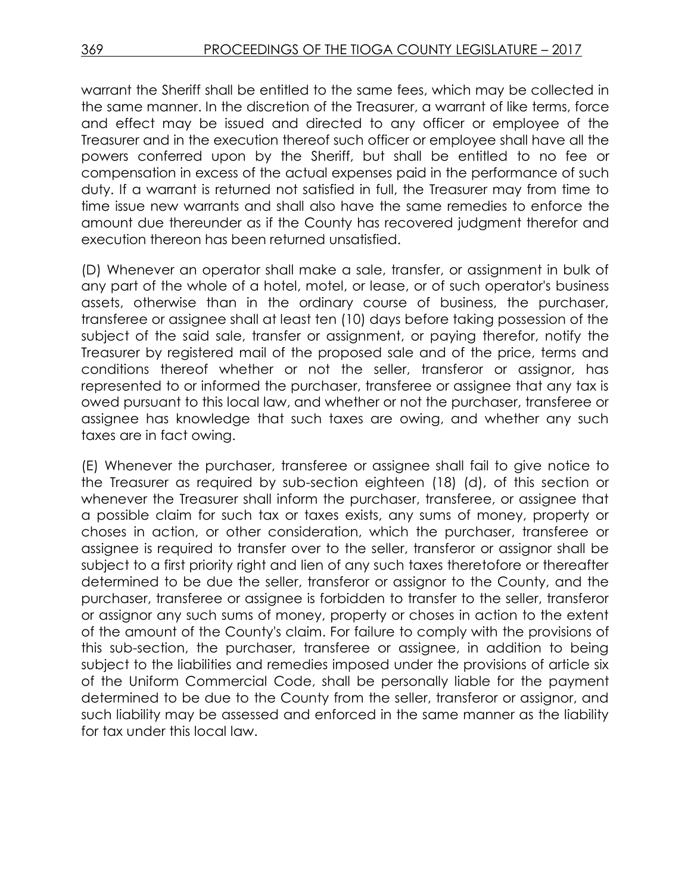warrant the Sheriff shall be entitled to the same fees, which may be collected in the same manner. In the discretion of the Treasurer, a warrant of like terms, force and effect may be issued and directed to any officer or employee of the Treasurer and in the execution thereof such officer or employee shall have all the powers conferred upon by the Sheriff, but shall be entitled to no fee or compensation in excess of the actual expenses paid in the performance of such duty. If a warrant is returned not satisfied in full, the Treasurer may from time to time issue new warrants and shall also have the same remedies to enforce the amount due thereunder as if the County has recovered judgment therefor and execution thereon has been returned unsatisfied.

(D) Whenever an operator shall make a sale, transfer, or assignment in bulk of any part of the whole of a hotel, motel, or lease, or of such operator's business assets, otherwise than in the ordinary course of business, the purchaser, transferee or assignee shall at least ten (10) days before taking possession of the subject of the said sale, transfer or assignment, or paying therefor, notify the Treasurer by registered mail of the proposed sale and of the price, terms and conditions thereof whether or not the seller, transferor or assignor, has represented to or informed the purchaser, transferee or assignee that any tax is owed pursuant to this local law, and whether or not the purchaser, transferee or assignee has knowledge that such taxes are owing, and whether any such taxes are in fact owing.

(E) Whenever the purchaser, transferee or assignee shall fail to give notice to the Treasurer as required by sub-section eighteen (18) (d), of this section or whenever the Treasurer shall inform the purchaser, transferee, or assignee that a possible claim for such tax or taxes exists, any sums of money, property or choses in action, or other consideration, which the purchaser, transferee or assignee is required to transfer over to the seller, transferor or assignor shall be subject to a first priority right and lien of any such taxes theretofore or thereafter determined to be due the seller, transferor or assignor to the County, and the purchaser, transferee or assignee is forbidden to transfer to the seller, transferor or assignor any such sums of money, property or choses in action to the extent of the amount of the County's claim. For failure to comply with the provisions of this sub-section, the purchaser, transferee or assignee, in addition to being subject to the liabilities and remedies imposed under the provisions of article six of the Uniform Commercial Code, shall be personally liable for the payment determined to be due to the County from the seller, transferor or assignor, and such liability may be assessed and enforced in the same manner as the liability for tax under this local law.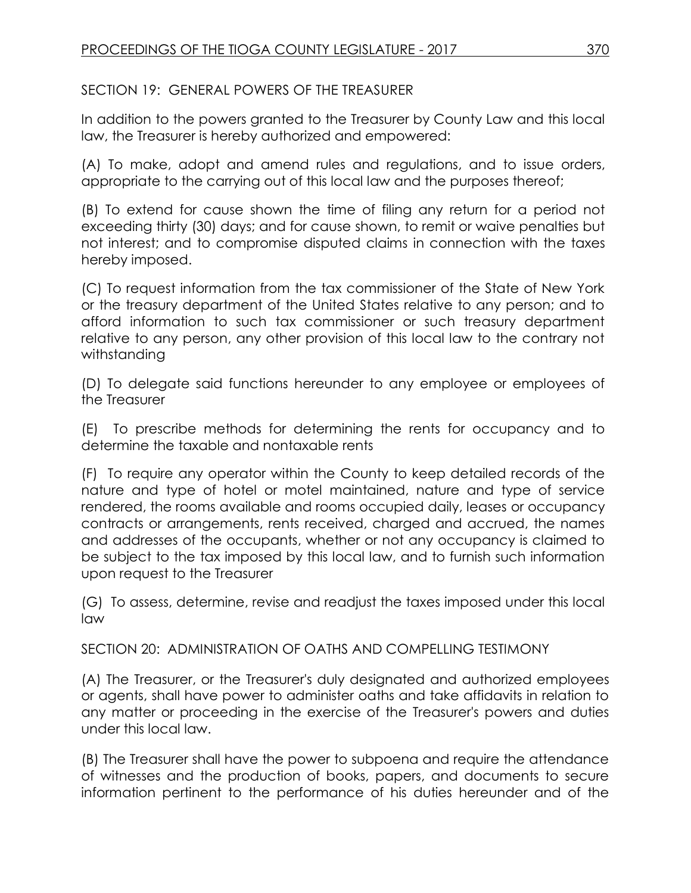SECTION 19: GENERAL POWERS OF THE TREASURER

In addition to the powers granted to the Treasurer by County Law and this local law, the Treasurer is hereby authorized and empowered:

(A) To make, adopt and amend rules and regulations, and to issue orders, appropriate to the carrying out of this local law and the purposes thereof;

(B) To extend for cause shown the time of filing any return for a period not exceeding thirty (30) days; and for cause shown, to remit or waive penalties but not interest; and to compromise disputed claims in connection with the taxes hereby imposed.

(C) To request information from the tax commissioner of the State of New York or the treasury department of the United States relative to any person; and to afford information to such tax commissioner or such treasury department relative to any person, any other provision of this local law to the contrary not withstanding

(D) To delegate said functions hereunder to any employee or employees of the Treasurer

(E) To prescribe methods for determining the rents for occupancy and to determine the taxable and nontaxable rents

(F) To require any operator within the County to keep detailed records of the nature and type of hotel or motel maintained, nature and type of service rendered, the rooms available and rooms occupied daily, leases or occupancy contracts or arrangements, rents received, charged and accrued, the names and addresses of the occupants, whether or not any occupancy is claimed to be subject to the tax imposed by this local law, and to furnish such information upon request to the Treasurer

(G) To assess, determine, revise and readjust the taxes imposed under this local law

SECTION 20: ADMINISTRATION OF OATHS AND COMPELLING TESTIMONY

(A) The Treasurer, or the Treasurer's duly designated and authorized employees or agents, shall have power to administer oaths and take affidavits in relation to any matter or proceeding in the exercise of the Treasurer's powers and duties under this local law.

(B) The Treasurer shall have the power to subpoena and require the attendance of witnesses and the production of books, papers, and documents to secure information pertinent to the performance of his duties hereunder and of the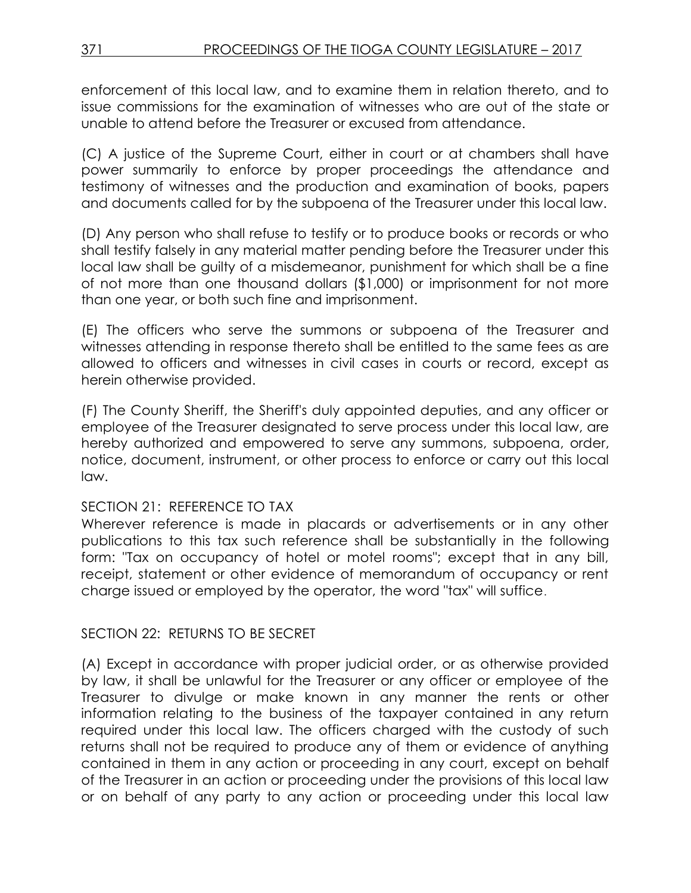enforcement of this local law, and to examine them in relation thereto, and to issue commissions for the examination of witnesses who are out of the state or unable to attend before the Treasurer or excused from attendance.

(C) A justice of the Supreme Court, either in court or at chambers shall have power summarily to enforce by proper proceedings the attendance and testimony of witnesses and the production and examination of books, papers and documents called for by the subpoena of the Treasurer under this local law.

(D) Any person who shall refuse to testify or to produce books or records or who shall testify falsely in any material matter pending before the Treasurer under this local law shall be guilty of a misdemeanor, punishment for which shall be a fine of not more than one thousand dollars (\$1,000) or imprisonment for not more than one year, or both such fine and imprisonment.

(E) The officers who serve the summons or subpoena of the Treasurer and witnesses attending in response thereto shall be entitled to the same fees as are allowed to officers and witnesses in civil cases in courts or record, except as herein otherwise provided.

(F) The County Sheriff, the Sheriff's duly appointed deputies, and any officer or employee of the Treasurer designated to serve process under this local law, are hereby authorized and empowered to serve any summons, subpoena, order, notice, document, instrument, or other process to enforce or carry out this local law.

# SECTION 21: REFERENCE TO TAX

Wherever reference is made in placards or advertisements or in any other publications to this tax such reference shall be substantially in the following form: "Tax on occupancy of hotel or motel rooms"; except that in any bill, receipt, statement or other evidence of memorandum of occupancy or rent charge issued or employed by the operator, the word "tax" will suffice.

# SECTION 22: RETURNS TO BE SECRET

(A) Except in accordance with proper judicial order, or as otherwise provided by law, it shall be unlawful for the Treasurer or any officer or employee of the Treasurer to divulge or make known in any manner the rents or other information relating to the business of the taxpayer contained in any return required under this local law. The officers charged with the custody of such returns shall not be required to produce any of them or evidence of anything contained in them in any action or proceeding in any court, except on behalf of the Treasurer in an action or proceeding under the provisions of this local law or on behalf of any party to any action or proceeding under this local law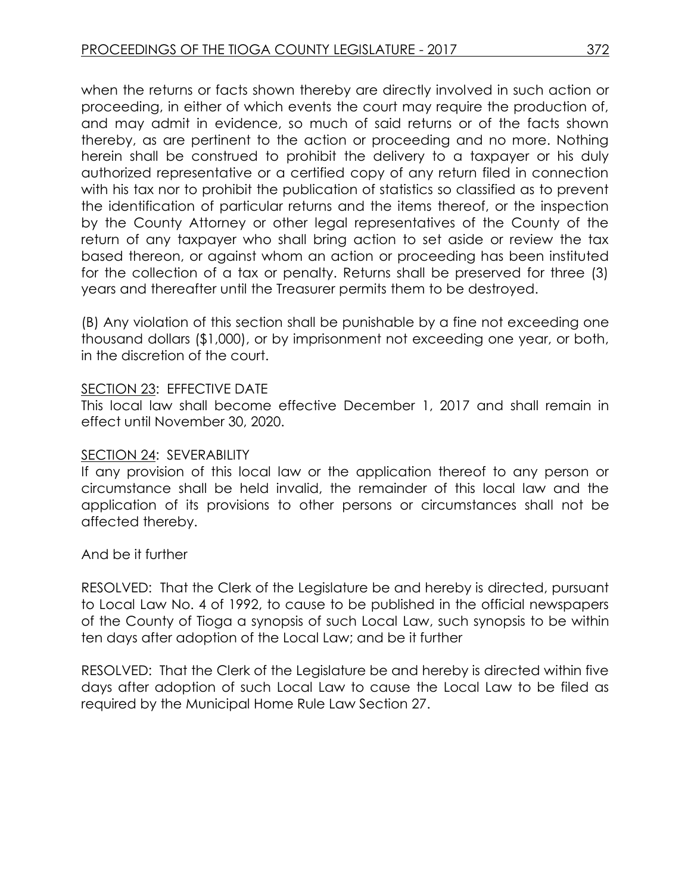when the returns or facts shown thereby are directly involved in such action or proceeding, in either of which events the court may require the production of, and may admit in evidence, so much of said returns or of the facts shown thereby, as are pertinent to the action or proceeding and no more. Nothing herein shall be construed to prohibit the delivery to a taxpayer or his duly authorized representative or a certified copy of any return filed in connection with his tax nor to prohibit the publication of statistics so classified as to prevent the identification of particular returns and the items thereof, or the inspection by the County Attorney or other legal representatives of the County of the return of any taxpayer who shall bring action to set aside or review the tax based thereon, or against whom an action or proceeding has been instituted for the collection of a tax or penalty. Returns shall be preserved for three (3) years and thereafter until the Treasurer permits them to be destroyed.

(B) Any violation of this section shall be punishable by a fine not exceeding one thousand dollars (\$1,000), or by imprisonment not exceeding one year, or both, in the discretion of the court.

### SECTION 23: EFFECTIVE DATE

This local law shall become effective December 1, 2017 and shall remain in effect until November 30, 2020.

#### SECTION 24: SEVERABILITY

If any provision of this local law or the application thereof to any person or circumstance shall be held invalid, the remainder of this local law and the application of its provisions to other persons or circumstances shall not be affected thereby.

And be it further

RESOLVED: That the Clerk of the Legislature be and hereby is directed, pursuant to Local Law No. 4 of 1992, to cause to be published in the official newspapers of the County of Tioga a synopsis of such Local Law, such synopsis to be within ten days after adoption of the Local Law; and be it further

RESOLVED: That the Clerk of the Legislature be and hereby is directed within five days after adoption of such Local Law to cause the Local Law to be filed as required by the Municipal Home Rule Law Section 27.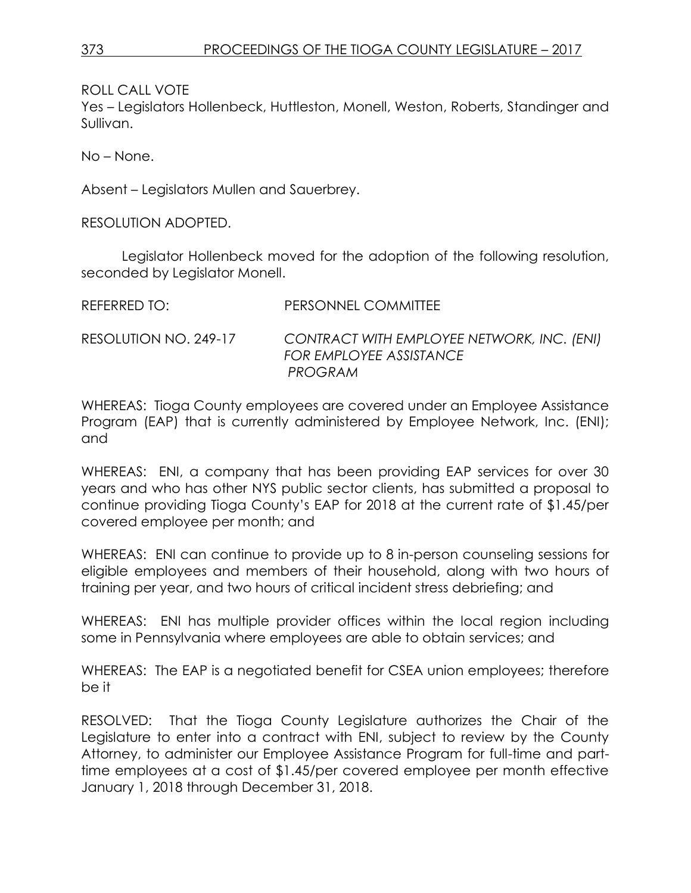ROLL CALL VOTE

Yes – Legislators Hollenbeck, Huttleston, Monell, Weston, Roberts, Standinger and Sullivan.

No – None.

Absent – Legislators Mullen and Sauerbrey.

RESOLUTION ADOPTED.

Legislator Hollenbeck moved for the adoption of the following resolution, seconded by Legislator Monell.

| REFERRED TO: I        | PERSONNEL COMMITTEE                                                              |
|-----------------------|----------------------------------------------------------------------------------|
| RESOLUTION NO. 249-17 | CONTRACT WITH EMPLOYEE NETWORK, INC. (ENI)<br>FOR EMPLOYEE ASSISTANCE<br>PROGRAM |

WHEREAS: Tioga County employees are covered under an Employee Assistance Program (EAP) that is currently administered by Employee Network, Inc. (ENI); and

WHEREAS: ENI, a company that has been providing EAP services for over 30 years and who has other NYS public sector clients, has submitted a proposal to continue providing Tioga County's EAP for 2018 at the current rate of \$1.45/per covered employee per month; and

WHEREAS: ENI can continue to provide up to 8 in-person counseling sessions for eligible employees and members of their household, along with two hours of training per year, and two hours of critical incident stress debriefing; and

WHEREAS: ENI has multiple provider offices within the local region including some in Pennsylvania where employees are able to obtain services; and

WHEREAS: The EAP is a negotiated benefit for CSEA union employees; therefore be it

RESOLVED: That the Tioga County Legislature authorizes the Chair of the Legislature to enter into a contract with ENI, subject to review by the County Attorney, to administer our Employee Assistance Program for full-time and parttime employees at a cost of \$1.45/per covered employee per month effective January 1, 2018 through December 31, 2018.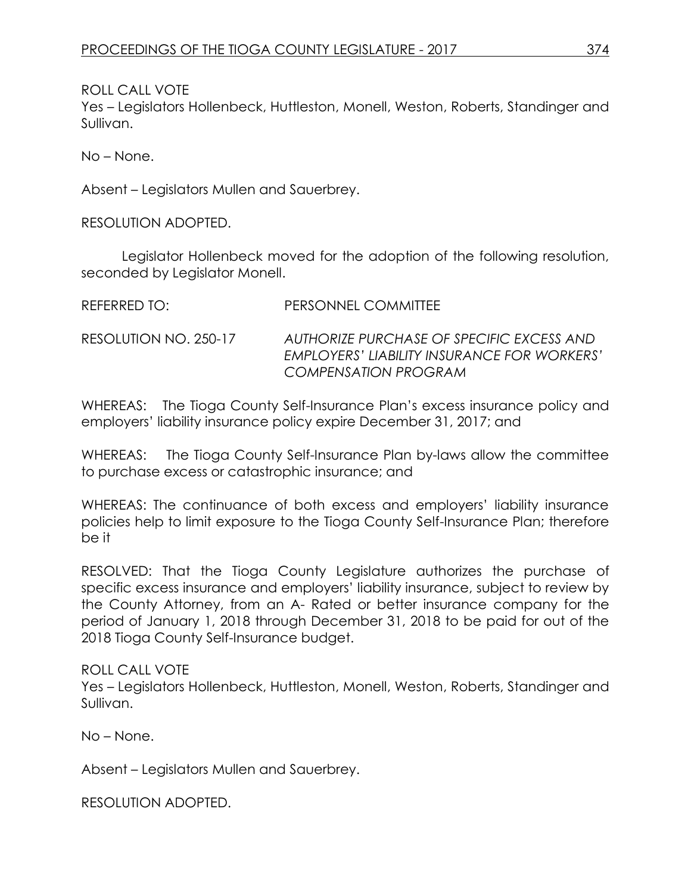ROLL CALL VOTE

Yes – Legislators Hollenbeck, Huttleston, Monell, Weston, Roberts, Standinger and Sullivan.

No – None.

Absent – Legislators Mullen and Sauerbrey.

RESOLUTION ADOPTED.

Legislator Hollenbeck moved for the adoption of the following resolution, seconded by Legislator Monell.

| REFERRED TO:          | PERSONNEL COMMITTEE                                                                                                     |
|-----------------------|-------------------------------------------------------------------------------------------------------------------------|
| RESOLUTION NO. 250-17 | AUTHORIZE PURCHASE OF SPECIFIC EXCESS AND<br>EMPLOYERS' LIABILITY INSURANCE FOR WORKERS'<br><b>COMPENSATION PROGRAM</b> |

WHEREAS: The Tioga County Self-Insurance Plan's excess insurance policy and employers' liability insurance policy expire December 31, 2017; and

WHEREAS: The Tioga County Self-Insurance Plan by-laws allow the committee to purchase excess or catastrophic insurance; and

WHEREAS: The continuance of both excess and employers' liability insurance policies help to limit exposure to the Tioga County Self-Insurance Plan; therefore be it

RESOLVED: That the Tioga County Legislature authorizes the purchase of specific excess insurance and employers' liability insurance, subject to review by the County Attorney, from an A- Rated or better insurance company for the period of January 1, 2018 through December 31, 2018 to be paid for out of the 2018 Tioga County Self-Insurance budget.

### ROLL CALL VOTE

Yes – Legislators Hollenbeck, Huttleston, Monell, Weston, Roberts, Standinger and Sullivan.

No – None.

Absent – Legislators Mullen and Sauerbrey.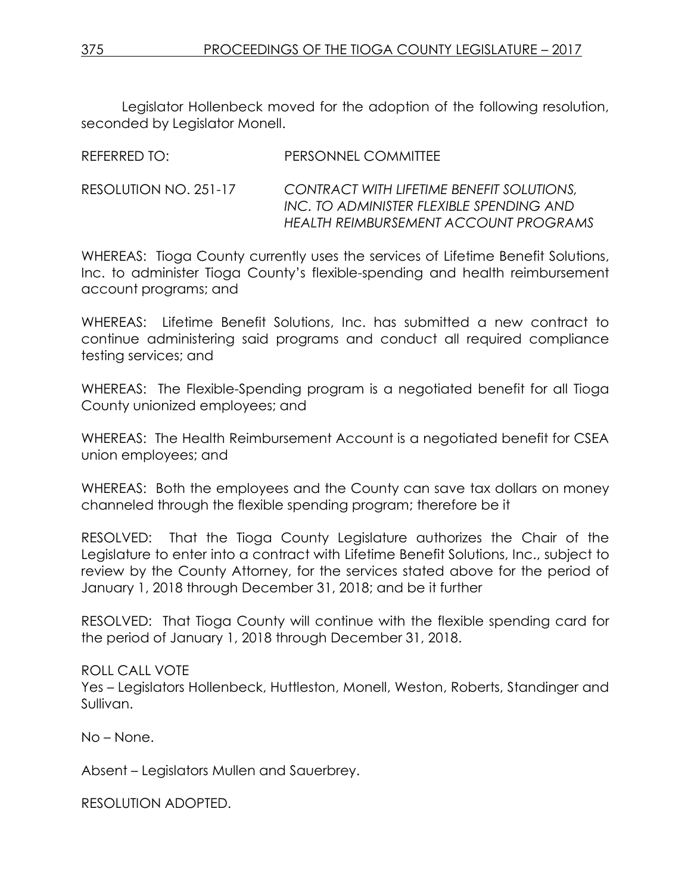Legislator Hollenbeck moved for the adoption of the following resolution, seconded by Legislator Monell.

| REFERRED TO:          | PERSONNEL COMMITTEE                                                                                                            |
|-----------------------|--------------------------------------------------------------------------------------------------------------------------------|
| RESOLUTION NO. 251-17 | CONTRACT WITH LIFETIME BENEFIT SOLUTIONS,<br>INC. TO ADMINISTER FLEXIBLE SPENDING AND<br>HEALTH REIMBURSEMENT ACCOUNT PROGRAMS |

WHEREAS: Tioga County currently uses the services of Lifetime Benefit Solutions, Inc. to administer Tioga County's flexible-spending and health reimbursement account programs; and

WHEREAS: Lifetime Benefit Solutions, Inc. has submitted a new contract to continue administering said programs and conduct all required compliance testing services; and

WHEREAS: The Flexible-Spending program is a negotiated benefit for all Tioga County unionized employees; and

WHEREAS: The Health Reimbursement Account is a negotiated benefit for CSEA union employees; and

WHEREAS: Both the employees and the County can save tax dollars on money channeled through the flexible spending program; therefore be it

RESOLVED: That the Tioga County Legislature authorizes the Chair of the Legislature to enter into a contract with Lifetime Benefit Solutions, Inc., subject to review by the County Attorney, for the services stated above for the period of January 1, 2018 through December 31, 2018; and be it further

RESOLVED: That Tioga County will continue with the flexible spending card for the period of January 1, 2018 through December 31, 2018.

ROLL CALL VOTE

Yes – Legislators Hollenbeck, Huttleston, Monell, Weston, Roberts, Standinger and Sullivan.

No – None.

Absent – Legislators Mullen and Sauerbrey.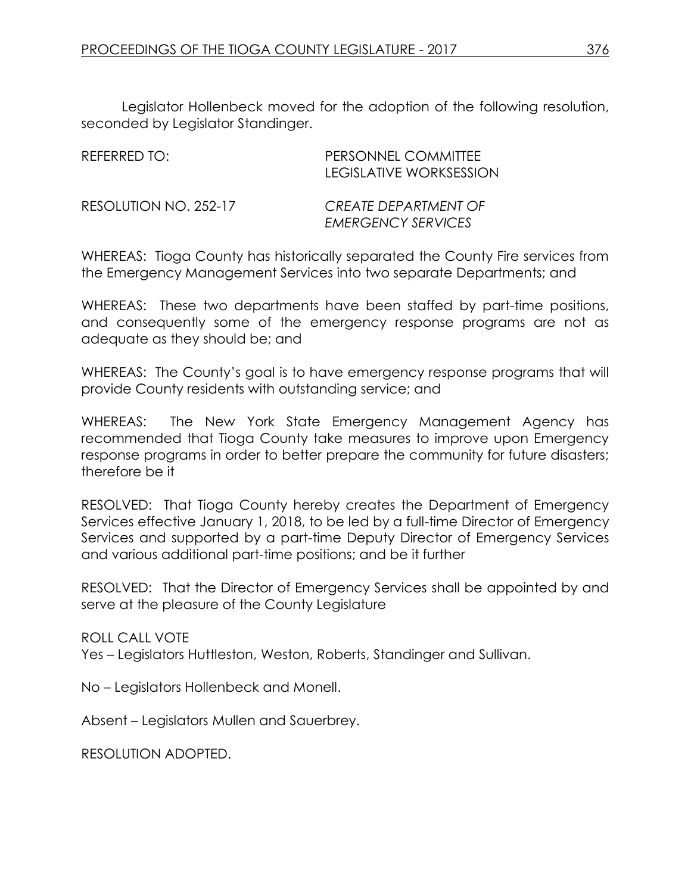Legislator Hollenbeck moved for the adoption of the following resolution, seconded by Legislator Standinger.

| REFERRED TO:          | PERSONNEL COMMITTEE<br>LEGISLATIVE WORKSESSION           |
|-----------------------|----------------------------------------------------------|
| RESOLUTION NO. 252-17 | <b>CREATE DEPARTMENT OF</b><br><b>EMERGENCY SERVICES</b> |

WHEREAS: Tioga County has historically separated the County Fire services from the Emergency Management Services into two separate Departments; and

WHEREAS: These two departments have been staffed by part-time positions, and consequently some of the emergency response programs are not as adequate as they should be; and

WHEREAS: The County's goal is to have emergency response programs that will provide County residents with outstanding service; and

WHEREAS: The New York State Emergency Management Agency has recommended that Tioga County take measures to improve upon Emergency response programs in order to better prepare the community for future disasters; therefore be it

RESOLVED: That Tioga County hereby creates the Department of Emergency Services effective January 1, 2018, to be led by a full-time Director of Emergency Services and supported by a part-time Deputy Director of Emergency Services and various additional part-time positions; and be it further

RESOLVED: That the Director of Emergency Services shall be appointed by and serve at the pleasure of the County Legislature

ROLL CALL VOTE

Yes – Legislators Huttleston, Weston, Roberts, Standinger and Sullivan.

No – Legislators Hollenbeck and Monell.

Absent – Legislators Mullen and Sauerbrey.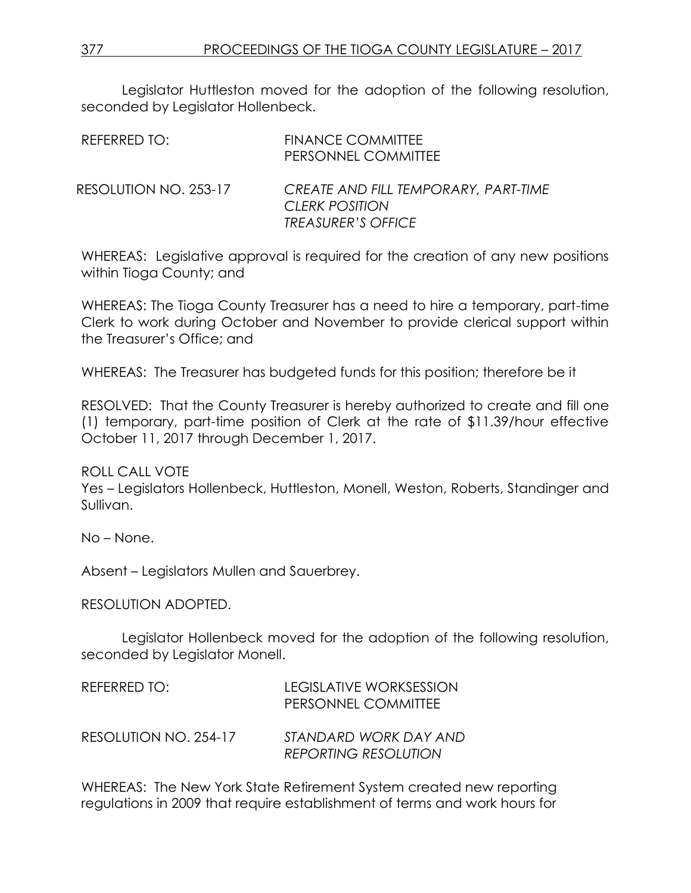Legislator Huttleston moved for the adoption of the following resolution, seconded by Legislator Hollenbeck.

| REFERRED TO:          | <b>FINANCE COMMITTEE</b><br>PERSONNEL COMMITTEE                                            |
|-----------------------|--------------------------------------------------------------------------------------------|
| RESOLUTION NO. 253-17 | CREATE AND FILL TEMPORARY, PART-TIME<br><b>CLERK POSITION</b><br><b>TREASURER'S OFFICE</b> |

WHEREAS: Legislative approval is required for the creation of any new positions within Tioga County; and

WHEREAS: The Tioga County Treasurer has a need to hire a temporary, part-time Clerk to work during October and November to provide clerical support within the Treasurer's Office; and

WHEREAS: The Treasurer has budgeted funds for this position; therefore be it

RESOLVED: That the County Treasurer is hereby authorized to create and fill one (1) temporary, part-time position of Clerk at the rate of \$11.39/hour effective October 11, 2017 through December 1, 2017.

ROLL CALL VOTE

Yes – Legislators Hollenbeck, Huttleston, Monell, Weston, Roberts, Standinger and Sullivan.

No – None.

Absent – Legislators Mullen and Sauerbrey.

RESOLUTION ADOPTED.

Legislator Hollenbeck moved for the adoption of the following resolution, seconded by Legislator Monell.

| REFERRED TO:          | LEGISLATIVE WORKSESSION<br>PERSONNEL COMMITTEE       |
|-----------------------|------------------------------------------------------|
| RESOLUTION NO. 254-17 | STANDARD WORK DAY AND<br><b>REPORTING RESOLUTION</b> |

WHEREAS: The New York State Retirement System created new reporting regulations in 2009 that require establishment of terms and work hours for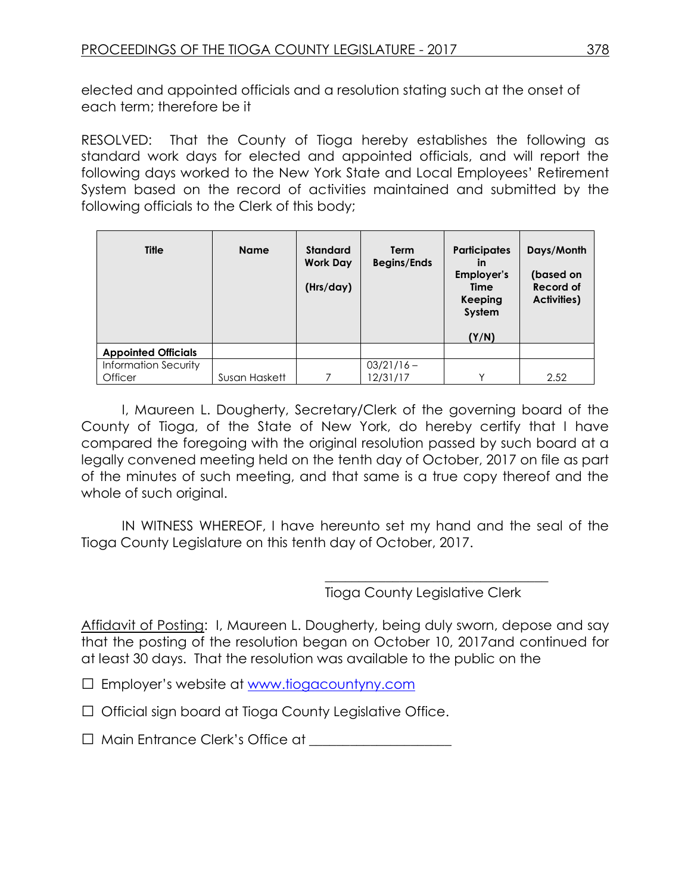elected and appointed officials and a resolution stating such at the onset of each term; therefore be it

RESOLVED: That the County of Tioga hereby establishes the following as standard work days for elected and appointed officials, and will report the following days worked to the New York State and Local Employees' Retirement System based on the record of activities maintained and submitted by the following officials to the Clerk of this body;

| <b>Title</b>                | <b>Name</b>   | <b>Standard</b><br><b>Work Day</b><br>(Hrs/day) | <b>Term</b><br><b>Begins/Ends</b> | <b>Participates</b><br>in<br>Employer's<br>Time<br>Keeping<br>System<br>(Y/N) | Days/Month<br>(based on<br>Record of<br><b>Activities)</b> |
|-----------------------------|---------------|-------------------------------------------------|-----------------------------------|-------------------------------------------------------------------------------|------------------------------------------------------------|
| <b>Appointed Officials</b>  |               |                                                 |                                   |                                                                               |                                                            |
| <b>Information Security</b> |               |                                                 | $03/21/16 -$                      |                                                                               |                                                            |
| Officer                     | Susan Haskett |                                                 | 12/31/17                          | $\checkmark$                                                                  | 2.52                                                       |

I, Maureen L. Dougherty, Secretary/Clerk of the governing board of the County of Tioga, of the State of New York, do hereby certify that I have compared the foregoing with the original resolution passed by such board at a legally convened meeting held on the tenth day of October, 2017 on file as part of the minutes of such meeting, and that same is a true copy thereof and the whole of such original.

IN WITNESS WHEREOF, I have hereunto set my hand and the seal of the Tioga County Legislature on this tenth day of October, 2017.

Tioga County Legislative Clerk

\_\_\_\_\_\_\_\_\_\_\_\_\_\_\_\_\_\_\_\_\_\_\_\_\_\_\_\_\_\_\_\_\_

Affidavit of Posting: I, Maureen L. Dougherty, being duly sworn, depose and say that the posting of the resolution began on October 10, 2017and continued for at least 30 days. That the resolution was available to the public on the

□ Employer's website at [www.tiogacountyny.com](http://www.tiogacountyny.com/)

□ Official sign board at Tioga County Legislative Office.

□ Main Entrance Clerk's Office at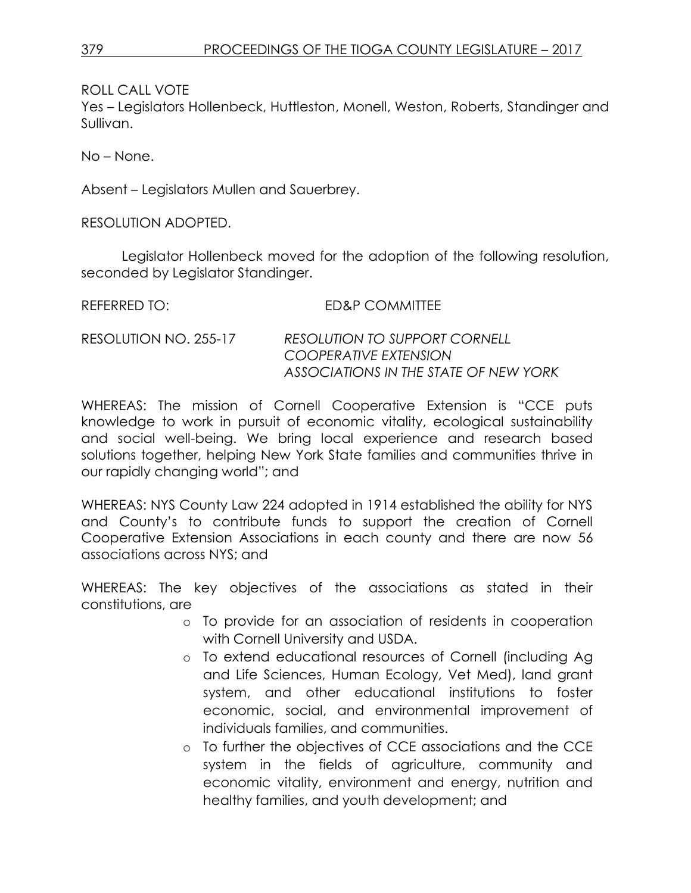ROLL CALL VOTE

Yes – Legislators Hollenbeck, Huttleston, Monell, Weston, Roberts, Standinger and Sullivan.

No – None.

Absent – Legislators Mullen and Sauerbrey.

RESOLUTION ADOPTED.

Legislator Hollenbeck moved for the adoption of the following resolution, seconded by Legislator Standinger.

REFERRED TO: ED&P COMMITTEE

| RESOLUTION NO. 255-17 | <b>RESOLUTION TO SUPPORT CORNELL</b>  |
|-----------------------|---------------------------------------|
|                       | COOPERATIVE EXTENSION                 |
|                       | ASSOCIATIONS IN THE STATE OF NEW YORK |

WHEREAS: The mission of Cornell Cooperative Extension is "CCE puts knowledge to work in pursuit of economic vitality, ecological sustainability and social well-being. We bring local experience and research based solutions together, helping New York State families and communities thrive in our rapidly changing world"; and

WHEREAS: NYS County Law 224 adopted in 1914 established the ability for NYS and County's to contribute funds to support the creation of Cornell Cooperative Extension Associations in each county and there are now 56 associations across NYS; and

WHEREAS: The key objectives of the associations as stated in their constitutions, are

- o To provide for an association of residents in cooperation with Cornell University and USDA.
- o To extend educational resources of Cornell (including Ag and Life Sciences, Human Ecology, Vet Med), land grant system, and other educational institutions to foster economic, social, and environmental improvement of individuals families, and communities.
- o To further the objectives of CCE associations and the CCE system in the fields of agriculture, community and economic vitality, environment and energy, nutrition and healthy families, and youth development; and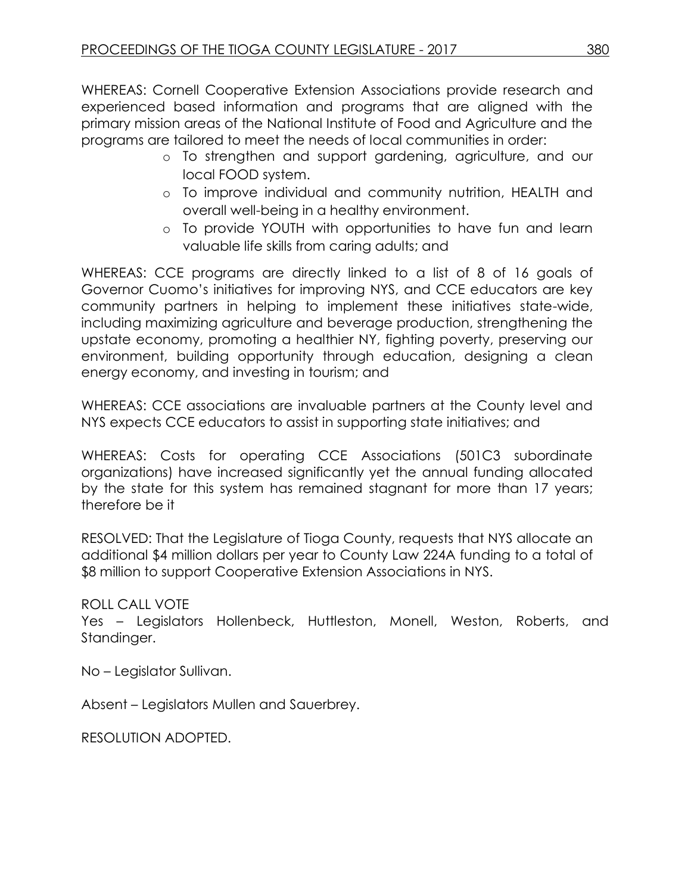WHEREAS: Cornell Cooperative Extension Associations provide research and experienced based information and programs that are aligned with the primary mission areas of the National Institute of Food and Agriculture and the programs are tailored to meet the needs of local communities in order:

- o To strengthen and support gardening, agriculture, and our local FOOD system.
- o To improve individual and community nutrition, HEALTH and overall well-being in a healthy environment.
- o To provide YOUTH with opportunities to have fun and learn valuable life skills from caring adults; and

WHEREAS: CCE programs are directly linked to a list of 8 of 16 goals of Governor Cuomo's initiatives for improving NYS, and CCE educators are key community partners in helping to implement these initiatives state-wide, including maximizing agriculture and beverage production, strengthening the upstate economy, promoting a healthier NY, fighting poverty, preserving our environment, building opportunity through education, designing a clean energy economy, and investing in tourism; and

WHEREAS: CCE associations are invaluable partners at the County level and NYS expects CCE educators to assist in supporting state initiatives; and

WHEREAS: Costs for operating CCE Associations (501C3 subordinate organizations) have increased significantly yet the annual funding allocated by the state for this system has remained stagnant for more than 17 years; therefore be it

RESOLVED: That the Legislature of Tioga County, requests that NYS allocate an additional \$4 million dollars per year to County Law 224A funding to a total of \$8 million to support Cooperative Extension Associations in NYS.

# ROLL CALL VOTE

Yes – Legislators Hollenbeck, Huttleston, Monell, Weston, Roberts, and Standinger.

No – Legislator Sullivan.

Absent – Legislators Mullen and Sauerbrey.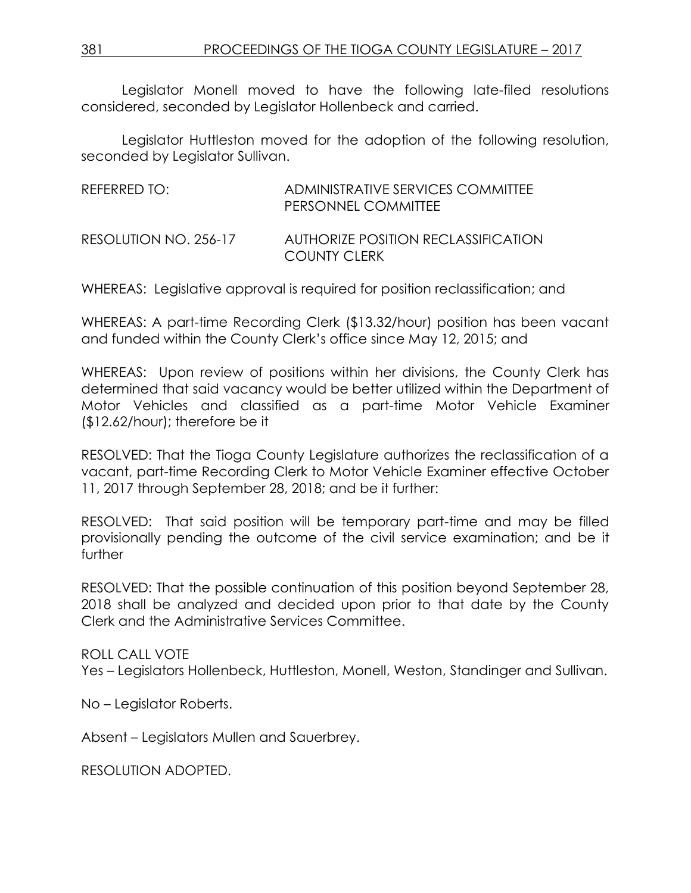Legislator Monell moved to have the following late-filed resolutions considered, seconded by Legislator Hollenbeck and carried.

Legislator Huttleston moved for the adoption of the following resolution, seconded by Legislator Sullivan.

| REFERRED TO:          | ADMINISTRATIVE SERVICES COMMITTEE<br>PERSONNEL COMMITTEE   |
|-----------------------|------------------------------------------------------------|
| RESOLUTION NO. 256-17 | AUTHORIZE POSITION RECLASSIFICATION<br><b>COUNTY CLERK</b> |

WHEREAS: Legislative approval is required for position reclassification; and

WHEREAS: A part-time Recording Clerk (\$13.32/hour) position has been vacant and funded within the County Clerk's office since May 12, 2015; and

WHEREAS: Upon review of positions within her divisions, the County Clerk has determined that said vacancy would be better utilized within the Department of Motor Vehicles and classified as a part-time Motor Vehicle Examiner (\$12.62/hour); therefore be it

RESOLVED: That the Tioga County Legislature authorizes the reclassification of a vacant, part-time Recording Clerk to Motor Vehicle Examiner effective October 11, 2017 through September 28, 2018; and be it further:

RESOLVED: That said position will be temporary part-time and may be filled provisionally pending the outcome of the civil service examination; and be it further

RESOLVED: That the possible continuation of this position beyond September 28, 2018 shall be analyzed and decided upon prior to that date by the County Clerk and the Administrative Services Committee.

ROLL CALL VOTE Yes – Legislators Hollenbeck, Huttleston, Monell, Weston, Standinger and Sullivan.

No – Legislator Roberts.

Absent – Legislators Mullen and Sauerbrey.